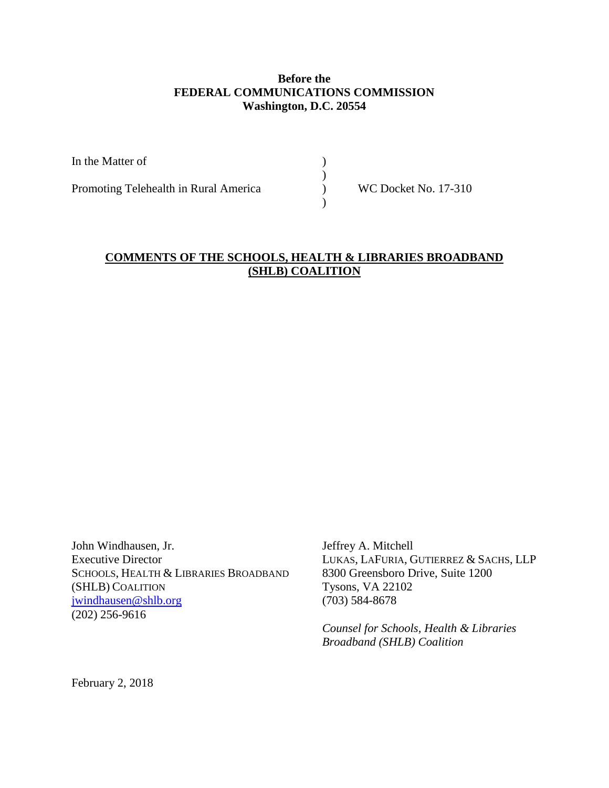## **Before the FEDERAL COMMUNICATIONS COMMISSION Washington, D.C. 20554**

| <b>WC Docket No. 17-310</b> |
|-----------------------------|
|                             |

## **COMMENTS OF THE SCHOOLS, HEALTH & LIBRARIES BROADBAND (SHLB) COALITION**

John Windhausen, Jr. Jeffrey A. Mitchell Executive Director<br>
Executive Director<br>
SCHOOLS, HEALTH & LIBRARIES BROADBAND<br>
8300 Greensboro Drive, Suite 1200 SCHOOLS, HEALTH & LIBRARIES BROADBAND (SHLB) COALITION Tysons, VA 22102 [jwindhausen@shlb.org](mailto:jwindhausen@shlb.org) (703) 584-8678 (202) 256-9616

*Counsel for Schools, Health & Libraries Broadband (SHLB) Coalition*

February 2, 2018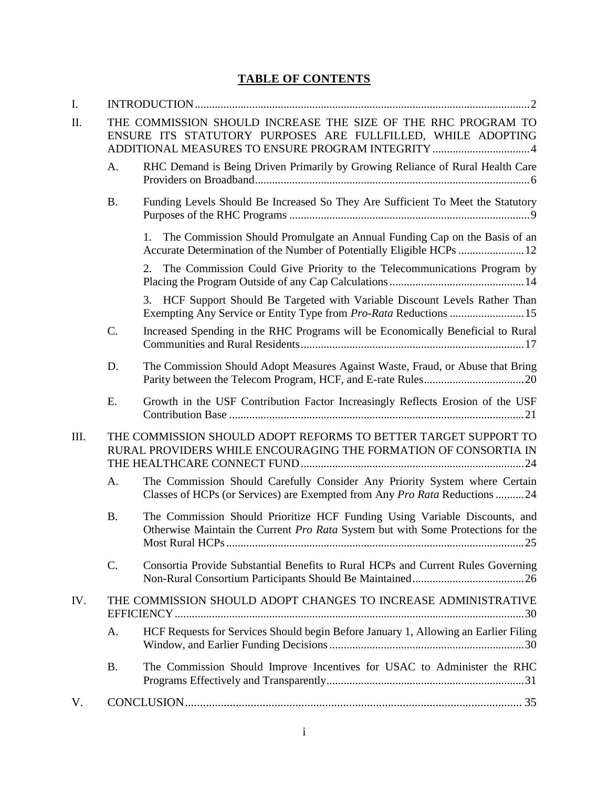# **TABLE OF CONTENTS**

| I.   |                                                                                                                                                                                    |                                                                                                                                                                |  |
|------|------------------------------------------------------------------------------------------------------------------------------------------------------------------------------------|----------------------------------------------------------------------------------------------------------------------------------------------------------------|--|
| Π.   | THE COMMISSION SHOULD INCREASE THE SIZE OF THE RHC PROGRAM TO<br>ENSURE ITS STATUTORY PURPOSES ARE FULLFILLED, WHILE ADOPTING<br>ADDITIONAL MEASURES TO ENSURE PROGRAM INTEGRITY 4 |                                                                                                                                                                |  |
|      | A.                                                                                                                                                                                 | RHC Demand is Being Driven Primarily by Growing Reliance of Rural Health Care                                                                                  |  |
|      | <b>B.</b>                                                                                                                                                                          | Funding Levels Should Be Increased So They Are Sufficient To Meet the Statutory                                                                                |  |
|      |                                                                                                                                                                                    | The Commission Should Promulgate an Annual Funding Cap on the Basis of an<br>1.<br>Accurate Determination of the Number of Potentially Eligible HCPs  12       |  |
|      |                                                                                                                                                                                    | The Commission Could Give Priority to the Telecommunications Program by<br>2.                                                                                  |  |
|      |                                                                                                                                                                                    | HCF Support Should Be Targeted with Variable Discount Levels Rather Than<br>3.                                                                                 |  |
|      | C.                                                                                                                                                                                 | Increased Spending in the RHC Programs will be Economically Beneficial to Rural                                                                                |  |
|      | D.                                                                                                                                                                                 | The Commission Should Adopt Measures Against Waste, Fraud, or Abuse that Bring                                                                                 |  |
|      | E.                                                                                                                                                                                 | Growth in the USF Contribution Factor Increasingly Reflects Erosion of the USF                                                                                 |  |
| III. |                                                                                                                                                                                    | THE COMMISSION SHOULD ADOPT REFORMS TO BETTER TARGET SUPPORT TO<br>RURAL PROVIDERS WHILE ENCOURAGING THE FORMATION OF CONSORTIA IN                             |  |
|      | A.                                                                                                                                                                                 | The Commission Should Carefully Consider Any Priority System where Certain<br>Classes of HCPs (or Services) are Exempted from Any Pro Rata Reductions 24       |  |
|      | <b>B.</b>                                                                                                                                                                          | The Commission Should Prioritize HCF Funding Using Variable Discounts, and<br>Otherwise Maintain the Current Pro Rata System but with Some Protections for the |  |
|      | C.                                                                                                                                                                                 | Consortia Provide Substantial Benefits to Rural HCPs and Current Rules Governing                                                                               |  |
| IV.  |                                                                                                                                                                                    | THE COMMISSION SHOULD ADOPT CHANGES TO INCREASE ADMINISTRATIVE                                                                                                 |  |
|      | A.                                                                                                                                                                                 | HCF Requests for Services Should begin Before January 1, Allowing an Earlier Filing                                                                            |  |
|      | <b>B.</b>                                                                                                                                                                          | The Commission Should Improve Incentives for USAC to Administer the RHC                                                                                        |  |
| V.   |                                                                                                                                                                                    |                                                                                                                                                                |  |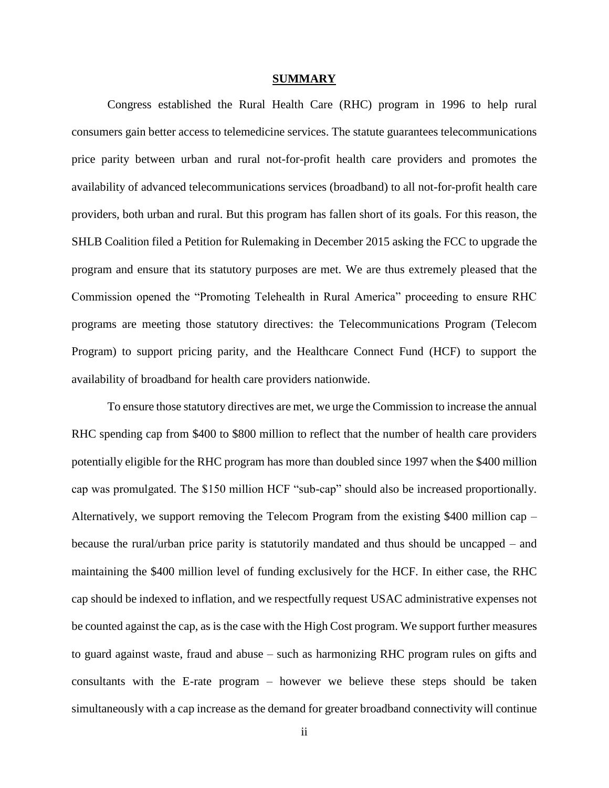#### **SUMMARY**

Congress established the Rural Health Care (RHC) program in 1996 to help rural consumers gain better access to telemedicine services. The statute guarantees telecommunications price parity between urban and rural not-for-profit health care providers and promotes the availability of advanced telecommunications services (broadband) to all not-for-profit health care providers, both urban and rural. But this program has fallen short of its goals. For this reason, the SHLB Coalition filed a Petition for Rulemaking in December 2015 asking the FCC to upgrade the program and ensure that its statutory purposes are met. We are thus extremely pleased that the Commission opened the "Promoting Telehealth in Rural America" proceeding to ensure RHC programs are meeting those statutory directives: the Telecommunications Program (Telecom Program) to support pricing parity, and the Healthcare Connect Fund (HCF) to support the availability of broadband for health care providers nationwide.

To ensure those statutory directives are met, we urge the Commission to increase the annual RHC spending cap from \$400 to \$800 million to reflect that the number of health care providers potentially eligible for the RHC program has more than doubled since 1997 when the \$400 million cap was promulgated. The \$150 million HCF "sub-cap" should also be increased proportionally. Alternatively, we support removing the Telecom Program from the existing \$400 million cap – because the rural/urban price parity is statutorily mandated and thus should be uncapped – and maintaining the \$400 million level of funding exclusively for the HCF. In either case, the RHC cap should be indexed to inflation, and we respectfully request USAC administrative expenses not be counted against the cap, as is the case with the High Cost program. We support further measures to guard against waste, fraud and abuse – such as harmonizing RHC program rules on gifts and consultants with the E-rate program – however we believe these steps should be taken simultaneously with a cap increase as the demand for greater broadband connectivity will continue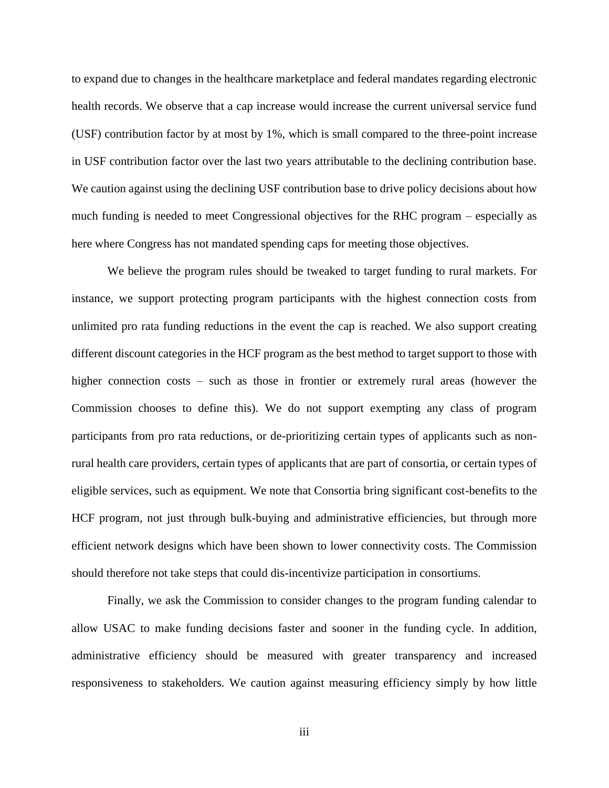to expand due to changes in the healthcare marketplace and federal mandates regarding electronic health records. We observe that a cap increase would increase the current universal service fund (USF) contribution factor by at most by 1%, which is small compared to the three-point increase in USF contribution factor over the last two years attributable to the declining contribution base. We caution against using the declining USF contribution base to drive policy decisions about how much funding is needed to meet Congressional objectives for the RHC program – especially as here where Congress has not mandated spending caps for meeting those objectives.

We believe the program rules should be tweaked to target funding to rural markets. For instance, we support protecting program participants with the highest connection costs from unlimited pro rata funding reductions in the event the cap is reached. We also support creating different discount categories in the HCF program as the best method to target support to those with higher connection costs – such as those in frontier or extremely rural areas (however the Commission chooses to define this). We do not support exempting any class of program participants from pro rata reductions, or de-prioritizing certain types of applicants such as nonrural health care providers, certain types of applicants that are part of consortia, or certain types of eligible services, such as equipment. We note that Consortia bring significant cost-benefits to the HCF program, not just through bulk-buying and administrative efficiencies, but through more efficient network designs which have been shown to lower connectivity costs. The Commission should therefore not take steps that could dis-incentivize participation in consortiums.

Finally, we ask the Commission to consider changes to the program funding calendar to allow USAC to make funding decisions faster and sooner in the funding cycle. In addition, administrative efficiency should be measured with greater transparency and increased responsiveness to stakeholders. We caution against measuring efficiency simply by how little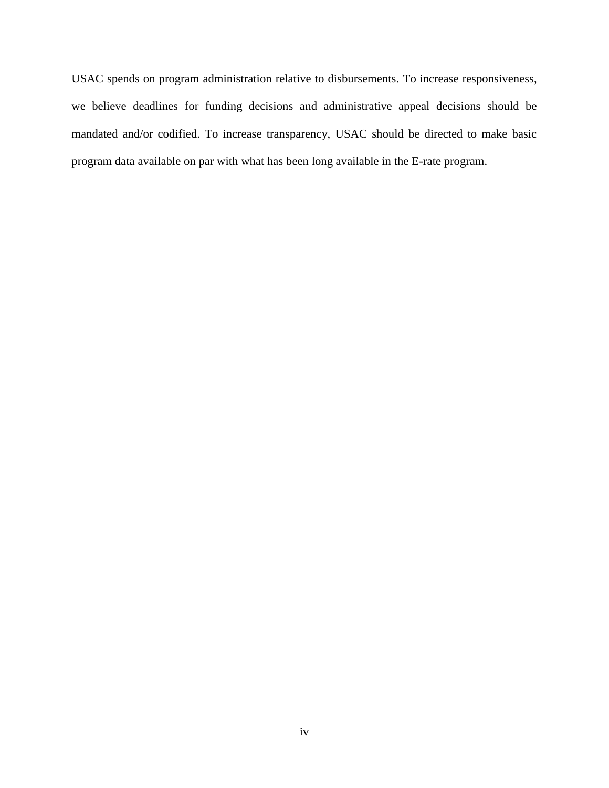USAC spends on program administration relative to disbursements. To increase responsiveness, we believe deadlines for funding decisions and administrative appeal decisions should be mandated and/or codified. To increase transparency, USAC should be directed to make basic program data available on par with what has been long available in the E-rate program.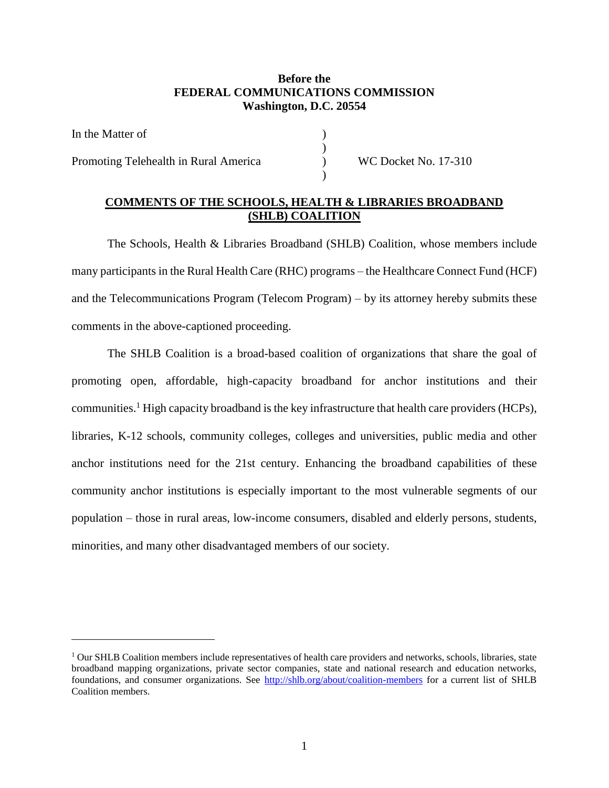## **Before the FEDERAL COMMUNICATIONS COMMISSION Washington, D.C. 20554**

| In the Matter of                      |      |
|---------------------------------------|------|
| Promoting Telehealth in Rural America | WC 1 |
|                                       |      |

Pocket No. 17-310

#### **COMMENTS OF THE SCHOOLS, HEALTH & LIBRARIES BROADBAND (SHLB) COALITION**

The Schools, Health & Libraries Broadband (SHLB) Coalition, whose members include many participants in the Rural Health Care (RHC) programs – the Healthcare Connect Fund (HCF) and the Telecommunications Program (Telecom Program) – by its attorney hereby submits these comments in the above-captioned proceeding.

The SHLB Coalition is a broad-based coalition of organizations that share the goal of promoting open, affordable, high-capacity broadband for anchor institutions and their communities.<sup>1</sup> High capacity broadband is the key infrastructure that health care providers (HCPs), libraries, K-12 schools, community colleges, colleges and universities, public media and other anchor institutions need for the 21st century. Enhancing the broadband capabilities of these community anchor institutions is especially important to the most vulnerable segments of our population – those in rural areas, low-income consumers, disabled and elderly persons, students, minorities, and many other disadvantaged members of our society.

<sup>&</sup>lt;sup>1</sup> Our SHLB Coalition members include representatives of health care providers and networks, schools, libraries, state broadband mapping organizations, private sector companies, state and national research and education networks, foundations, and consumer organizations. See<http://shlb.org/about/coalition-members> for a current list of SHLB Coalition members.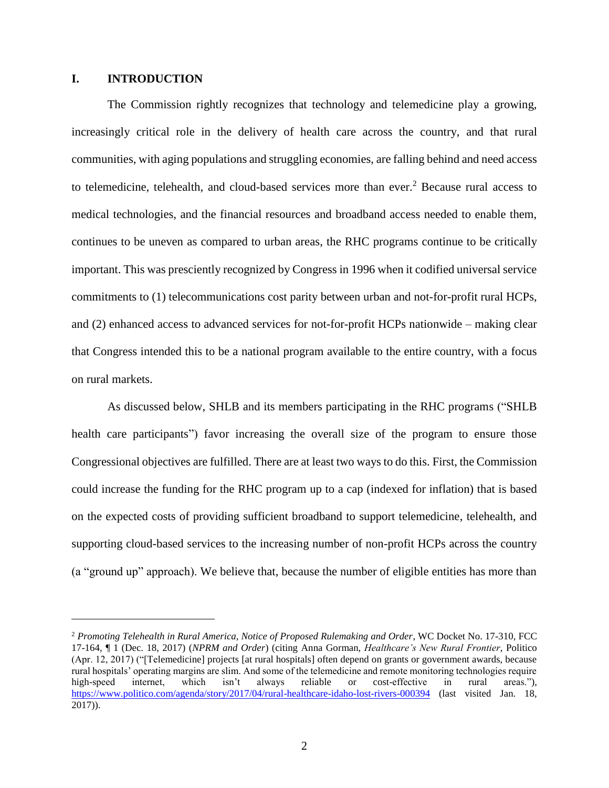#### <span id="page-6-0"></span>**I. INTRODUCTION**

 $\overline{a}$ 

The Commission rightly recognizes that technology and telemedicine play a growing, increasingly critical role in the delivery of health care across the country, and that rural communities, with aging populations and struggling economies, are falling behind and need access to telemedicine, telehealth, and cloud-based services more than ever. <sup>2</sup> Because rural access to medical technologies, and the financial resources and broadband access needed to enable them, continues to be uneven as compared to urban areas, the RHC programs continue to be critically important. This was presciently recognized by Congress in 1996 when it codified universal service commitments to (1) telecommunications cost parity between urban and not-for-profit rural HCPs, and (2) enhanced access to advanced services for not-for-profit HCPs nationwide – making clear that Congress intended this to be a national program available to the entire country, with a focus on rural markets.

As discussed below, SHLB and its members participating in the RHC programs ("SHLB health care participants") favor increasing the overall size of the program to ensure those Congressional objectives are fulfilled. There are at least two ways to do this. First, the Commission could increase the funding for the RHC program up to a cap (indexed for inflation) that is based on the expected costs of providing sufficient broadband to support telemedicine, telehealth, and supporting cloud-based services to the increasing number of non-profit HCPs across the country (a "ground up" approach). We believe that, because the number of eligible entities has more than

<sup>2</sup> *Promoting Telehealth in Rural America, Notice of Proposed Rulemaking and Order*, WC Docket No. 17-310, FCC 17-164, ¶ 1 (Dec. 18, 2017) (*NPRM and Order*) (citing Anna Gorman, *Healthcare's New Rural Frontier*, Politico (Apr. 12, 2017) ("[Telemedicine] projects [at rural hospitals] often depend on grants or government awards, because rural hospitals' operating margins are slim. And some of the telemedicine and remote monitoring technologies require high-speed internet, which isn't always reliable or cost-effective in rural areas."), <https://www.politico.com/agenda/story/2017/04/rural-healthcare-idaho-lost-rivers-000394> (last visited Jan. 18, 2017)).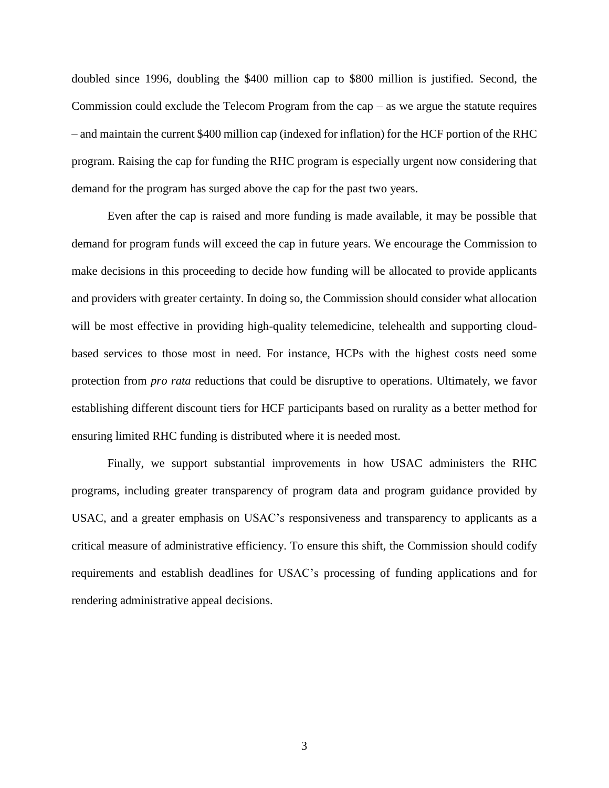doubled since 1996, doubling the \$400 million cap to \$800 million is justified. Second, the Commission could exclude the Telecom Program from the cap  $-$  as we argue the statute requires – and maintain the current \$400 million cap (indexed for inflation) for the HCF portion of the RHC program. Raising the cap for funding the RHC program is especially urgent now considering that demand for the program has surged above the cap for the past two years.

Even after the cap is raised and more funding is made available, it may be possible that demand for program funds will exceed the cap in future years. We encourage the Commission to make decisions in this proceeding to decide how funding will be allocated to provide applicants and providers with greater certainty. In doing so, the Commission should consider what allocation will be most effective in providing high-quality telemedicine, telehealth and supporting cloudbased services to those most in need. For instance, HCPs with the highest costs need some protection from *pro rata* reductions that could be disruptive to operations. Ultimately, we favor establishing different discount tiers for HCF participants based on rurality as a better method for ensuring limited RHC funding is distributed where it is needed most.

Finally, we support substantial improvements in how USAC administers the RHC programs, including greater transparency of program data and program guidance provided by USAC, and a greater emphasis on USAC's responsiveness and transparency to applicants as a critical measure of administrative efficiency. To ensure this shift, the Commission should codify requirements and establish deadlines for USAC's processing of funding applications and for rendering administrative appeal decisions.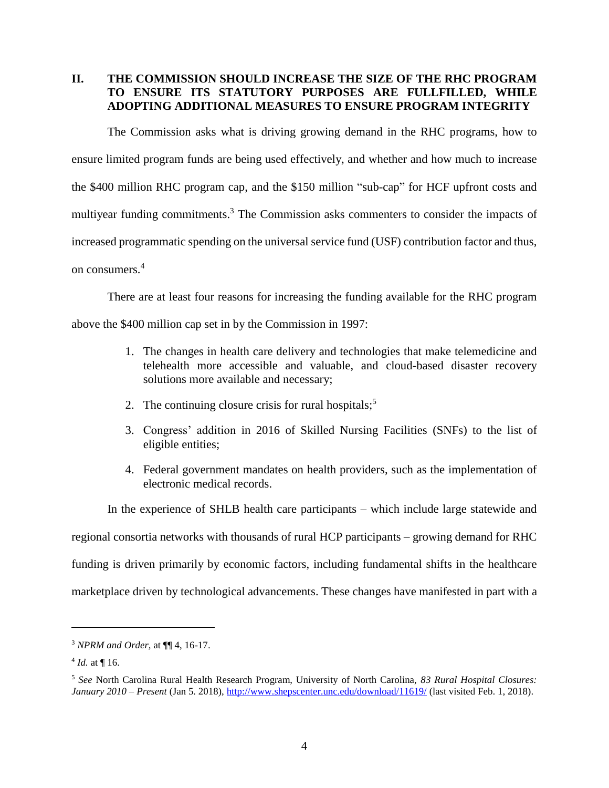## <span id="page-8-0"></span>**II. THE COMMISSION SHOULD INCREASE THE SIZE OF THE RHC PROGRAM TO ENSURE ITS STATUTORY PURPOSES ARE FULLFILLED, WHILE ADOPTING ADDITIONAL MEASURES TO ENSURE PROGRAM INTEGRITY**

The Commission asks what is driving growing demand in the RHC programs, how to ensure limited program funds are being used effectively, and whether and how much to increase the \$400 million RHC program cap, and the \$150 million "sub-cap" for HCF upfront costs and multiyear funding commitments.<sup>3</sup> The Commission asks commenters to consider the impacts of increased programmatic spending on the universal service fund (USF) contribution factor and thus, on consumers. 4

There are at least four reasons for increasing the funding available for the RHC program

above the \$400 million cap set in by the Commission in 1997:

- 1. The changes in health care delivery and technologies that make telemedicine and telehealth more accessible and valuable, and cloud-based disaster recovery solutions more available and necessary;
- 2. The continuing closure crisis for rural hospitals;<sup>5</sup>
- 3. Congress' addition in 2016 of Skilled Nursing Facilities (SNFs) to the list of eligible entities;
- 4. Federal government mandates on health providers, such as the implementation of electronic medical records.

In the experience of SHLB health care participants – which include large statewide and regional consortia networks with thousands of rural HCP participants – growing demand for RHC funding is driven primarily by economic factors, including fundamental shifts in the healthcare marketplace driven by technological advancements. These changes have manifested in part with a

<sup>3</sup> *NPRM and Order,* at ¶¶ 4, 16-17.

 $^{4}$  *Id.* at  $\P$  16.

<sup>5</sup> *See* North Carolina Rural Health Research Program, University of North Carolina, *83 Rural Hospital Closures: January 2010 – Present* (Jan 5. 2018), <http://www.shepscenter.unc.edu/download/11619/> (last visited Feb. 1, 2018).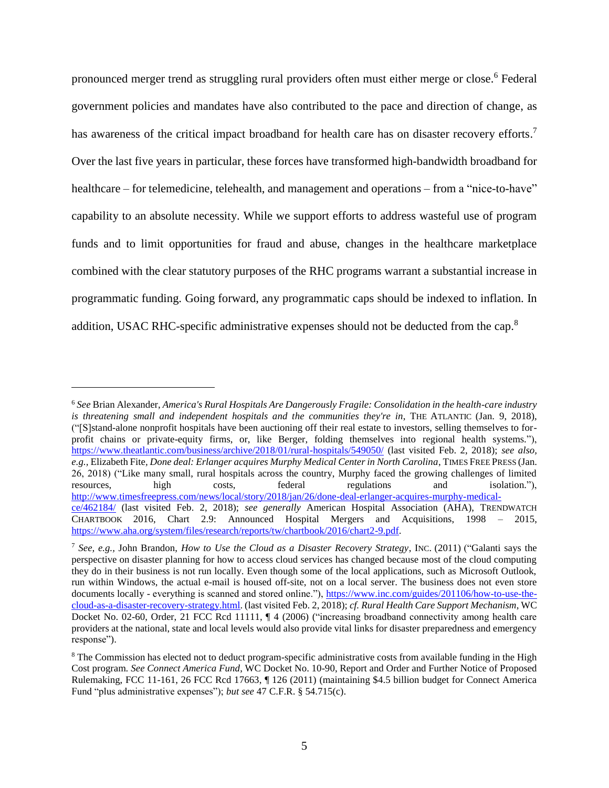pronounced merger trend as struggling rural providers often must either merge or close. <sup>6</sup> Federal government policies and mandates have also contributed to the pace and direction of change, as has awareness of the critical impact broadband for health care has on disaster recovery efforts.<sup>7</sup> Over the last five years in particular, these forces have transformed high-bandwidth broadband for healthcare – for telemedicine, telehealth, and management and operations – from a "nice-to-have" capability to an absolute necessity. While we support efforts to address wasteful use of program funds and to limit opportunities for fraud and abuse, changes in the healthcare marketplace combined with the clear statutory purposes of the RHC programs warrant a substantial increase in programmatic funding. Going forward, any programmatic caps should be indexed to inflation. In addition, USAC RHC-specific administrative expenses should not be deducted from the cap.<sup>8</sup>

<sup>6</sup> *See* Brian Alexander, *America's Rural Hospitals Are Dangerously Fragile: Consolidation in the health-care industry*  is threatening small and independent hospitals and the communities they're in, THE ATLANTIC (Jan. 9, 2018), ("[S]stand-alone nonprofit hospitals have been auctioning off their real estate to investors, selling themselves to forprofit chains or private-equity firms, or, like Berger, folding themselves into regional health systems."), <https://www.theatlantic.com/business/archive/2018/01/rural-hospitals/549050/> (last visited Feb. 2, 2018); *see also, e.g.,* Elizabeth Fite*, Done deal: Erlanger acquires Murphy Medical Center in North Carolina*, TIMES FREE PRESS (Jan. 26, 2018) ("Like many small, rural hospitals across the country, Murphy faced the growing challenges of limited resources, high costs, federal regulations and isolation."), [http://www.timesfreepress.com/news/local/story/2018/jan/26/done-deal-erlanger-acquires-murphy-medical](http://www.timesfreepress.com/news/local/story/2018/jan/26/done-deal-erlanger-acquires-murphy-medical-ce/462184/)[ce/462184/](http://www.timesfreepress.com/news/local/story/2018/jan/26/done-deal-erlanger-acquires-murphy-medical-ce/462184/) (last visited Feb. 2, 2018); *see generally* American Hospital Association (AHA), TRENDWATCH CHARTBOOK 2016, Chart 2.9: Announced Hospital Mergers and Acquisitions, 1998 – 2015, [https://www.aha.org/system/files/research/reports/tw/chartbook/2016/chart2-9.pdf.](https://www.aha.org/system/files/research/reports/tw/chartbook/2016/chart2-9.pdf)

<sup>7</sup> *See, e.g.,* John Brandon, *How to Use the Cloud as a Disaster Recovery Strategy*, INC. (2011) ("Galanti says the perspective on disaster planning for how to access cloud services has changed because most of the cloud computing they do in their business is not run locally. Even though some of the local applications, such as Microsoft Outlook, run within Windows, the actual e-mail is housed off-site, not on a local server. The business does not even store documents locally - everything is scanned and stored online."), [https://www.inc.com/guides/201106/how-to-use-the](https://www.inc.com/guides/201106/how-to-use-the-cloud-as-a-disaster-recovery-strategy.html)[cloud-as-a-disaster-recovery-strategy.html.](https://www.inc.com/guides/201106/how-to-use-the-cloud-as-a-disaster-recovery-strategy.html) (last visited Feb. 2, 2018); *cf. Rural Health Care Support Mechanism*, WC Docket No. 02-60, Order, 21 FCC Rcd 11111, ¶ 4 (2006) ("increasing broadband connectivity among health care providers at the national, state and local levels would also provide vital links for disaster preparedness and emergency response").

<sup>&</sup>lt;sup>8</sup> The Commission has elected not to deduct program-specific administrative costs from available funding in the High Cost program. *See Connect America Fund*, WC Docket No. 10-90, Report and Order and Further Notice of Proposed Rulemaking, FCC 11-161, 26 FCC Rcd 17663, ¶ 126 (2011) (maintaining \$4.5 billion budget for Connect America Fund "plus administrative expenses"); *but see* 47 C.F.R. § 54.715(c).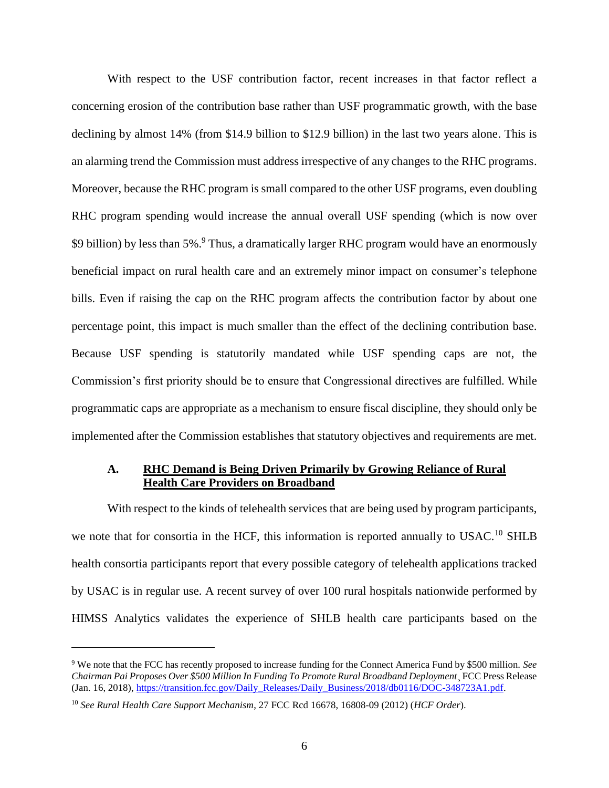With respect to the USF contribution factor, recent increases in that factor reflect a concerning erosion of the contribution base rather than USF programmatic growth, with the base declining by almost 14% (from \$14.9 billion to \$12.9 billion) in the last two years alone. This is an alarming trend the Commission must address irrespective of any changes to the RHC programs. Moreover, because the RHC program is small compared to the other USF programs, even doubling RHC program spending would increase the annual overall USF spending (which is now over \$9 billion) by less than 5%.<sup>9</sup> Thus, a dramatically larger RHC program would have an enormously beneficial impact on rural health care and an extremely minor impact on consumer's telephone bills. Even if raising the cap on the RHC program affects the contribution factor by about one percentage point, this impact is much smaller than the effect of the declining contribution base. Because USF spending is statutorily mandated while USF spending caps are not, the Commission's first priority should be to ensure that Congressional directives are fulfilled. While programmatic caps are appropriate as a mechanism to ensure fiscal discipline, they should only be implemented after the Commission establishes that statutory objectives and requirements are met.

#### <span id="page-10-0"></span>**A. RHC Demand is Being Driven Primarily by Growing Reliance of Rural Health Care Providers on Broadband**

With respect to the kinds of telehealth services that are being used by program participants, we note that for consortia in the HCF, this information is reported annually to USAC.<sup>10</sup> SHLB health consortia participants report that every possible category of telehealth applications tracked by USAC is in regular use. A recent survey of over 100 rural hospitals nationwide performed by HIMSS Analytics validates the experience of SHLB health care participants based on the

<sup>9</sup> We note that the FCC has recently proposed to increase funding for the Connect America Fund by \$500 million. *See Chairman Pai Proposes Over \$500 Million In Funding To Promote Rural Broadband Deployment*¸ FCC Press Release (Jan. 16, 2018), [https://transition.fcc.gov/Daily\\_Releases/Daily\\_Business/2018/db0116/DOC-348723A1.pdf.](https://transition.fcc.gov/Daily_Releases/Daily_Business/2018/db0116/DOC-348723A1.pdf)

<sup>10</sup> *See Rural Health Care Support Mechanism*, 27 FCC Rcd 16678, 16808-09 (2012) (*HCF Order*).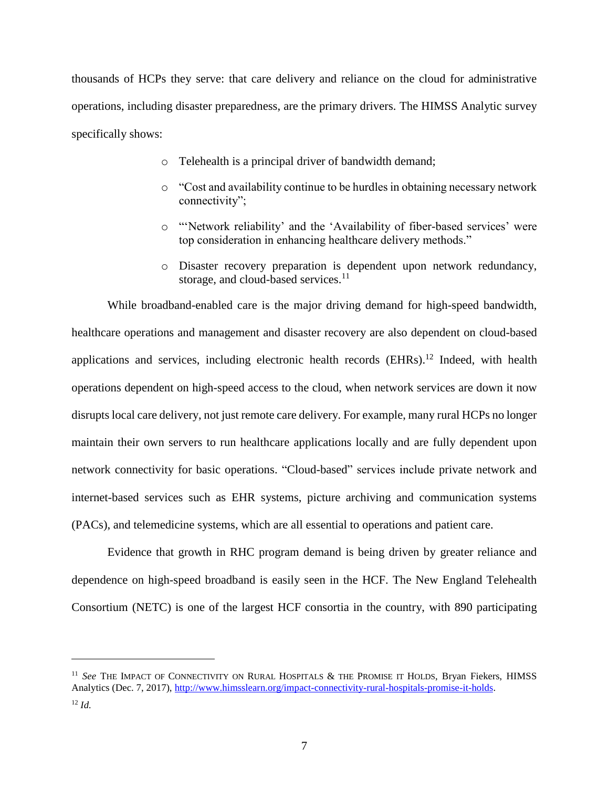thousands of HCPs they serve: that care delivery and reliance on the cloud for administrative operations, including disaster preparedness, are the primary drivers. The HIMSS Analytic survey specifically shows:

- o Telehealth is a principal driver of bandwidth demand;
- o "Cost and availability continue to be hurdles in obtaining necessary network connectivity";
- o "'Network reliability' and the 'Availability of fiber-based services' were top consideration in enhancing healthcare delivery methods."
- o Disaster recovery preparation is dependent upon network redundancy, storage, and cloud-based services.<sup>11</sup>

While broadband-enabled care is the major driving demand for high-speed bandwidth, healthcare operations and management and disaster recovery are also dependent on cloud-based applications and services, including electronic health records  $(EHRs)$ .<sup>12</sup> Indeed, with health operations dependent on high-speed access to the cloud, when network services are down it now disrupts local care delivery, not just remote care delivery. For example, many rural HCPs no longer maintain their own servers to run healthcare applications locally and are fully dependent upon network connectivity for basic operations. "Cloud-based" services include private network and internet-based services such as EHR systems, picture archiving and communication systems (PACs), and telemedicine systems, which are all essential to operations and patient care.

Evidence that growth in RHC program demand is being driven by greater reliance and dependence on high-speed broadband is easily seen in the HCF. The New England Telehealth Consortium (NETC) is one of the largest HCF consortia in the country, with 890 participating

<sup>&</sup>lt;sup>11</sup> See THE IMPACT OF CONNECTIVITY ON RURAL HOSPITALS & THE PROMISE IT HOLDS, Bryan Fiekers, HIMSS Analytics (Dec. 7, 2017)[, http://www.himsslearn.org/impact-connectivity-rural-hospitals-promise-it-holds.](http://www.himsslearn.org/impact-connectivity-rural-hospitals-promise-it-holds) <sup>12</sup> *Id.*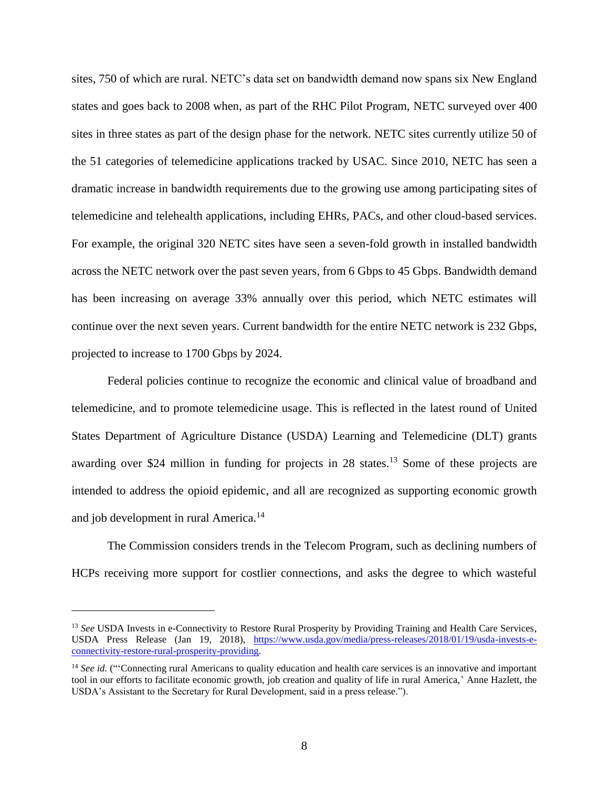sites, 750 of which are rural. NETC's data set on bandwidth demand now spans six New England states and goes back to 2008 when, as part of the RHC Pilot Program, NETC surveyed over 400 sites in three states as part of the design phase for the network. NETC sites currently utilize 50 of the 51 categories of telemedicine applications tracked by USAC. Since 2010, NETC has seen a dramatic increase in bandwidth requirements due to the growing use among participating sites of telemedicine and telehealth applications, including EHRs, PACs, and other cloud-based services. For example, the original 320 NETC sites have seen a seven-fold growth in installed bandwidth across the NETC network over the past seven years, from 6 Gbps to 45 Gbps. Bandwidth demand has been increasing on average 33% annually over this period, which NETC estimates will continue over the next seven years. Current bandwidth for the entire NETC network is 232 Gbps, projected to increase to 1700 Gbps by 2024.

Federal policies continue to recognize the economic and clinical value of broadband and telemedicine, and to promote telemedicine usage. This is reflected in the latest round of United States Department of Agriculture Distance (USDA) Learning and Telemedicine (DLT) grants awarding over \$24 million in funding for projects in 28 states.<sup>13</sup> Some of these projects are intended to address the opioid epidemic, and all are recognized as supporting economic growth and job development in rural America.<sup>14</sup>

The Commission considers trends in the Telecom Program, such as declining numbers of HCPs receiving more support for costlier connections, and asks the degree to which wasteful

<sup>13</sup> *See* USDA Invests in e-Connectivity to Restore Rural Prosperity by Providing Training and Health Care Services, USDA Press Release (Jan 19, 2018), [https://www.usda.gov/media/press-releases/2018/01/19/usda-invests-e](https://www.usda.gov/media/press-releases/2018/01/19/usda-invests-e-connectivity-restore-rural-prosperity-providing)[connectivity-restore-rural-prosperity-providing.](https://www.usda.gov/media/press-releases/2018/01/19/usda-invests-e-connectivity-restore-rural-prosperity-providing)

<sup>&</sup>lt;sup>14</sup> See id. ("Connecting rural Americans to quality education and health care services is an innovative and important tool in our efforts to facilitate economic growth, job creation and quality of life in rural America,' Anne Hazlett, the USDA's Assistant to the Secretary for Rural Development, said in a press release.").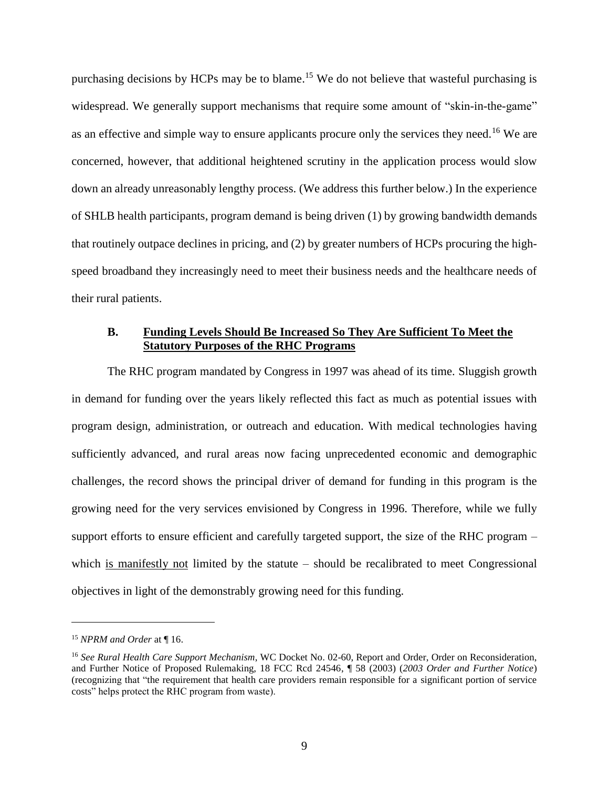purchasing decisions by HCPs may be to blame.<sup>15</sup> We do not believe that wasteful purchasing is widespread. We generally support mechanisms that require some amount of "skin-in-the-game" as an effective and simple way to ensure applicants procure only the services they need.<sup>16</sup> We are concerned, however, that additional heightened scrutiny in the application process would slow down an already unreasonably lengthy process. (We address this further below.) In the experience of SHLB health participants, program demand is being driven (1) by growing bandwidth demands that routinely outpace declines in pricing, and (2) by greater numbers of HCPs procuring the highspeed broadband they increasingly need to meet their business needs and the healthcare needs of their rural patients.

## <span id="page-13-0"></span>**B. Funding Levels Should Be Increased So They Are Sufficient To Meet the Statutory Purposes of the RHC Programs**

The RHC program mandated by Congress in 1997 was ahead of its time. Sluggish growth in demand for funding over the years likely reflected this fact as much as potential issues with program design, administration, or outreach and education. With medical technologies having sufficiently advanced, and rural areas now facing unprecedented economic and demographic challenges, the record shows the principal driver of demand for funding in this program is the growing need for the very services envisioned by Congress in 1996. Therefore, while we fully support efforts to ensure efficient and carefully targeted support, the size of the RHC program – which is manifestly not limited by the statute – should be recalibrated to meet Congressional objectives in light of the demonstrably growing need for this funding.

<sup>15</sup> *NPRM and Order* at ¶ 16.

<sup>&</sup>lt;sup>16</sup> See Rural Health Care Support Mechanism, WC Docket No. 02-60, Report and Order, Order on Reconsideration, and Further Notice of Proposed Rulemaking, 18 FCC Rcd 24546, ¶ 58 (2003) (*2003 Order and Further Notice*) (recognizing that "the requirement that health care providers remain responsible for a significant portion of service costs" helps protect the RHC program from waste).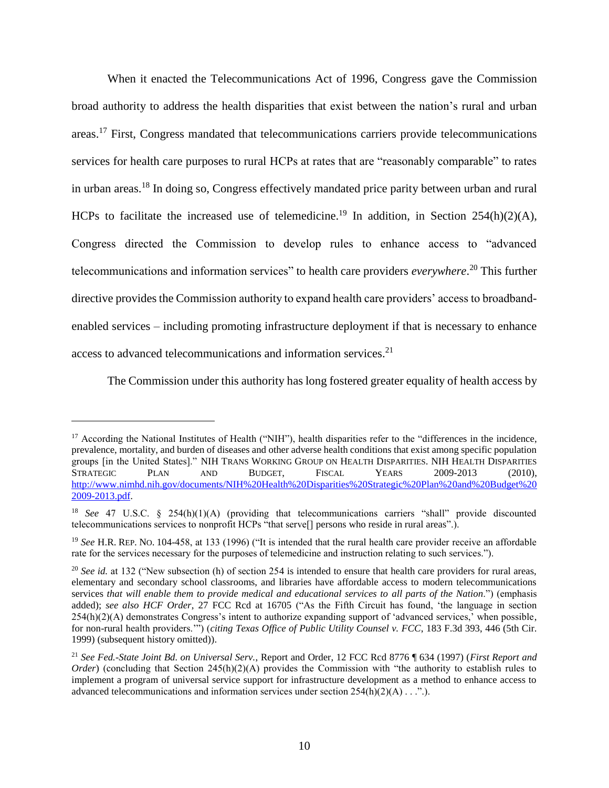When it enacted the Telecommunications Act of 1996, Congress gave the Commission broad authority to address the health disparities that exist between the nation's rural and urban areas.<sup>17</sup> First, Congress mandated that telecommunications carriers provide telecommunications services for health care purposes to rural HCPs at rates that are "reasonably comparable" to rates in urban areas.<sup>18</sup> In doing so, Congress effectively mandated price parity between urban and rural HCPs to facilitate the increased use of telemedicine.<sup>19</sup> In addition, in Section 254(h)(2)(A), Congress directed the Commission to develop rules to enhance access to "advanced telecommunications and information services" to health care providers *everywhere*. <sup>20</sup> This further directive provides the Commission authority to expand health care providers' access to broadbandenabled services – including promoting infrastructure deployment if that is necessary to enhance access to advanced telecommunications and information services. 21

The Commission under this authority has long fostered greater equality of health access by

<sup>&</sup>lt;sup>17</sup> According the National Institutes of Health ("NIH"), health disparities refer to the "differences in the incidence, prevalence, mortality, and burden of diseases and other adverse health conditions that exist among specific population groups [in the United States]." NIH TRANS WORKING GROUP ON HEALTH DISPARITIES. NIH HEALTH DISPARITIES STRATEGIC PLAN AND BUDGET, FISCAL YEARS 2009-2013 (2010), [http://www.nimhd.nih.gov/documents/NIH%20Health%20Disparities%20Strategic%20Plan%20and%20Budget%20](http://www.nimhd.nih.gov/documents/NIH%20Health%20Disparities%20Strategic%20Plan%20and%20Budget%202009-2013.pdf) [2009-2013.pdf.](http://www.nimhd.nih.gov/documents/NIH%20Health%20Disparities%20Strategic%20Plan%20and%20Budget%202009-2013.pdf)

<sup>18</sup> *See* 47 U.S.C. § 254(h)(1)(A) (providing that telecommunications carriers "shall" provide discounted telecommunications services to nonprofit HCPs "that serve[] persons who reside in rural areas".).

<sup>&</sup>lt;sup>19</sup> See H.R. REP. No. 104-458, at 133 (1996) ("It is intended that the rural health care provider receive an affordable rate for the services necessary for the purposes of telemedicine and instruction relating to such services.").

<sup>&</sup>lt;sup>20</sup> *See id.* at 132 ("New subsection (h) of section 254 is intended to ensure that health care providers for rural areas, elementary and secondary school classrooms, and libraries have affordable access to modern telecommunications services *that will enable them to provide medical and educational services to all parts of the Nation*.") (emphasis added); *see also HCF Order*, 27 FCC Rcd at 16705 ("As the Fifth Circuit has found, 'the language in section 254(h)(2)(A) demonstrates Congress's intent to authorize expanding support of 'advanced services,' when possible, for non-rural health providers.'") (*citing Texas Office of Public Utility Counsel v. FCC*, 183 F.3d 393, 446 (5th Cir. 1999) (subsequent history omitted)).

<sup>21</sup> *See Fed.-State Joint Bd. on Universal Serv.*, Report and Order, 12 FCC Rcd 8776 ¶ 634 (1997) (*First Report and Order*) (concluding that Section 245(h)(2)(A) provides the Commission with "the authority to establish rules to implement a program of universal service support for infrastructure development as a method to enhance access to advanced telecommunications and information services under section  $254(h)(2)(A) \dots$ ...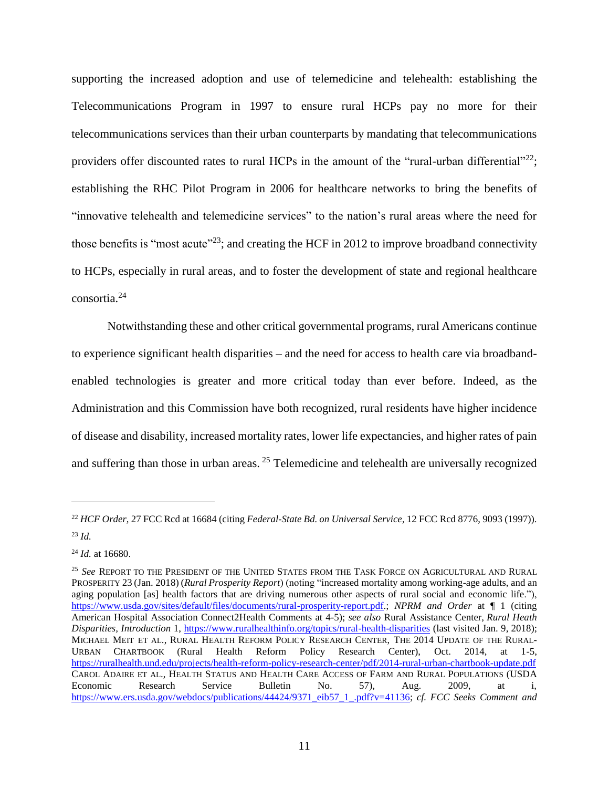supporting the increased adoption and use of telemedicine and telehealth: establishing the Telecommunications Program in 1997 to ensure rural HCPs pay no more for their telecommunications services than their urban counterparts by mandating that telecommunications providers offer discounted rates to rural HCPs in the amount of the "rural-urban differential"<sup>22</sup>; establishing the RHC Pilot Program in 2006 for healthcare networks to bring the benefits of "innovative telehealth and telemedicine services" to the nation's rural areas where the need for those benefits is "most acute"<sup>23</sup>; and creating the HCF in 2012 to improve broadband connectivity to HCPs, especially in rural areas, and to foster the development of state and regional healthcare consortia. 24

Notwithstanding these and other critical governmental programs, rural Americans continue to experience significant health disparities – and the need for access to health care via broadbandenabled technologies is greater and more critical today than ever before. Indeed, as the Administration and this Commission have both recognized, rural residents have higher incidence of disease and disability, increased mortality rates, lower life expectancies, and higher rates of pain and suffering than those in urban areas. <sup>25</sup> Telemedicine and telehealth are universally recognized

<sup>22</sup> *HCF Order*, 27 FCC Rcd at 16684 (citing *Federal-State Bd. on Universal Service*, 12 FCC Rcd 8776, 9093 (1997)). <sup>23</sup> *Id.*

<sup>24</sup> *Id.* at 16680.

<sup>25</sup> *See* REPORT TO THE PRESIDENT OF THE UNITED STATES FROM THE TASK FORCE ON AGRICULTURAL AND RURAL PROSPERITY 23 (Jan. 2018) (*Rural Prosperity Report*) (noting "increased mortality among working-age adults, and an aging population [as] health factors that are driving numerous other aspects of rural social and economic life."), [https://www.usda.gov/sites/default/files/documents/rural-prosperity-report.pdf.](https://www.usda.gov/sites/default/files/documents/rural-prosperity-report.pdf); *NPRM and Order* at ¶ 1 (citing American Hospital Association Connect2Health Comments at 4-5); *see also* Rural Assistance Center, *Rural Heath Disparities, Introduction* 1,<https://www.ruralhealthinfo.org/topics/rural-health-disparities> (last visited Jan. 9, 2018); MICHAEL MEIT ET AL., RURAL HEALTH REFORM POLICY RESEARCH CENTER, THE 2014 UPDATE OF THE RURAL-URBAN CHARTBOOK (Rural Health Reform Policy Research Center), Oct. 2014, at 1-5, <https://ruralhealth.und.edu/projects/health-reform-policy-research-center/pdf/2014-rural-urban-chartbook-update.pdf> CAROL ADAIRE ET AL., HEALTH STATUS AND HEALTH CARE ACCESS OF FARM AND RURAL POPULATIONS (USDA Economic Research Service Bulletin No. 57), Aug. 2009, at i, [https://www.ers.usda.gov/webdocs/publications/44424/9371\\_eib57\\_1\\_.pdf?v=41136;](https://www.ers.usda.gov/webdocs/publications/44424/9371_eib57_1_.pdf?v=41136) *cf. FCC Seeks Comment and*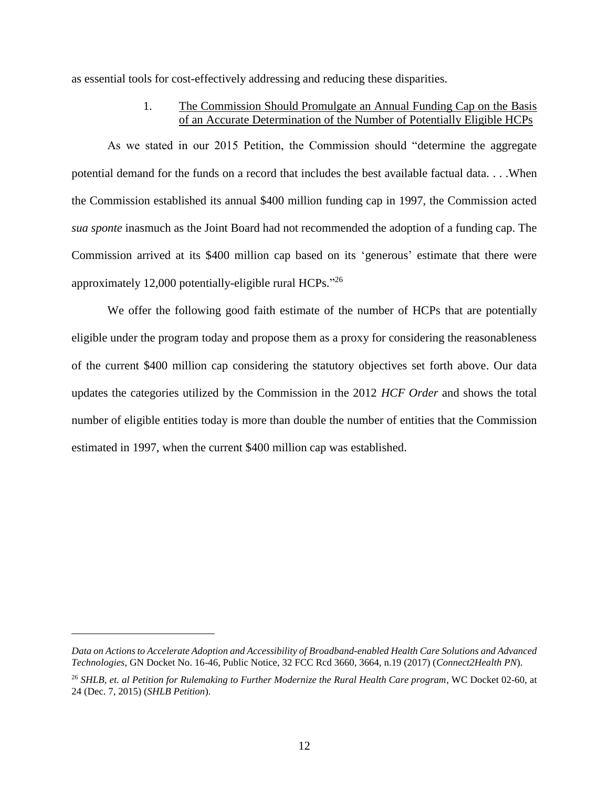<span id="page-16-0"></span>as essential tools for cost-effectively addressing and reducing these disparities.

## 1. The Commission Should Promulgate an Annual Funding Cap on the Basis of an Accurate Determination of the Number of Potentially Eligible HCPs

As we stated in our 2015 Petition, the Commission should "determine the aggregate potential demand for the funds on a record that includes the best available factual data. . . .When the Commission established its annual \$400 million funding cap in 1997, the Commission acted *sua sponte* inasmuch as the Joint Board had not recommended the adoption of a funding cap. The Commission arrived at its \$400 million cap based on its 'generous' estimate that there were approximately 12,000 potentially-eligible rural HCPs."26

We offer the following good faith estimate of the number of HCPs that are potentially eligible under the program today and propose them as a proxy for considering the reasonableness of the current \$400 million cap considering the statutory objectives set forth above. Our data updates the categories utilized by the Commission in the 2012 *HCF Order* and shows the total number of eligible entities today is more than double the number of entities that the Commission estimated in 1997, when the current \$400 million cap was established.

*Data on Actions to Accelerate Adoption and Accessibility of Broadband-enabled Health Care Solutions and Advanced Technologies*, GN Docket No. 16-46, Public Notice, 32 FCC Rcd 3660, 3664, n.19 (2017) (*Connect2Health PN*).

<sup>26</sup> *SHLB, et. al Petition for Rulemaking to Further Modernize the Rural Health Care program*, WC Docket 02-60, at 24 (Dec. 7, 2015) (*SHLB Petition*).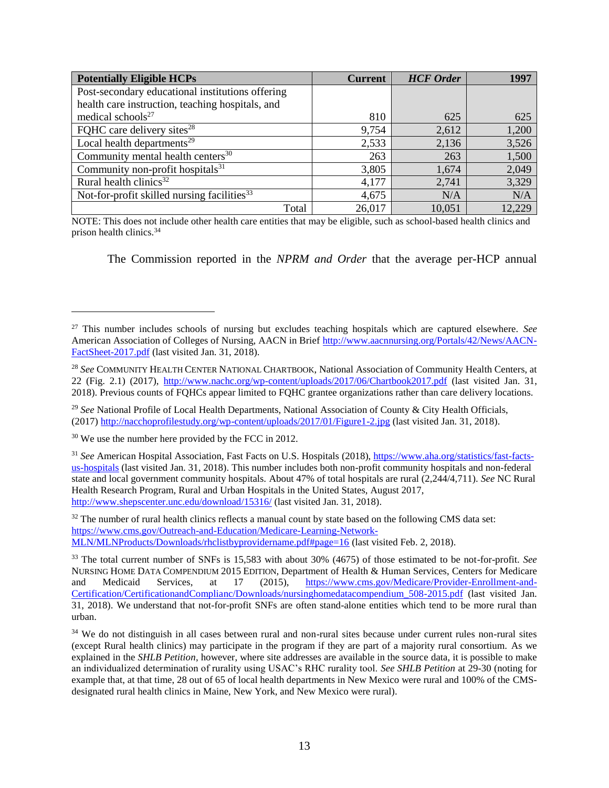| <b>Potentially Eligible HCPs</b>                        | <b>Current</b> | <b>HCF</b> Order | 1997   |
|---------------------------------------------------------|----------------|------------------|--------|
| Post-secondary educational institutions offering        |                |                  |        |
| health care instruction, teaching hospitals, and        |                |                  |        |
| medical schools <sup>27</sup>                           | 810            | 625              | 625    |
| FQHC care delivery sites <sup>28</sup>                  | 9,754          | 2,612            | 1,200  |
| Local health departments <sup>29</sup>                  | 2,533          | 2,136            | 3,526  |
| Community mental health centers <sup>30</sup>           | 263            | 263              | 1,500  |
| Community non-profit hospitals <sup>31</sup>            | 3,805          | 1,674            | 2,049  |
| Rural health clinics <sup>32</sup>                      | 4,177          | 2,741            | 3,329  |
| Not-for-profit skilled nursing facilities <sup>33</sup> | 4,675          | N/A              | N/A    |
| Total                                                   | 26,017         | 10,051           | 12,229 |

NOTE: This does not include other health care entities that may be eligible, such as school-based health clinics and prison health clinics.<sup>34</sup>

The Commission reported in the *NPRM and Order* that the average per-HCP annual

<sup>29</sup> *See* National Profile of Local Health Departments, National Association of County & City Health Officials, (2017) <http://nacchoprofilestudy.org/wp-content/uploads/2017/01/Figure1-2.jpg> (last visited Jan. 31, 2018).

<sup>30</sup> We use the number here provided by the FCC in 2012.

 $\overline{a}$ 

<sup>31</sup> *See* American Hospital Association, Fast Facts on U.S. Hospitals (2018), [https://www.aha.org/statistics/fast-facts](https://www.aha.org/statistics/fast-facts-us-hospitals)[us-hospitals](https://www.aha.org/statistics/fast-facts-us-hospitals) (last visited Jan. 31, 2018). This number includes both non-profit community hospitals and non-federal state and local government community hospitals. About 47% of total hospitals are rural (2,244/4,711). *See* NC Rural Health Research Program, Rural and Urban Hospitals in the United States, August 2017, <http://www.shepscenter.unc.edu/download/15316/> (last visited Jan. 31, 2018).

<sup>32</sup> The number of rural health clinics reflects a manual count by state based on the following CMS data set: [https://www.cms.gov/Outreach-and-Education/Medicare-Learning-Network-](https://www.cms.gov/Outreach-and-Education/Medicare-Learning-Network-MLN/MLNProducts/Downloads/rhclistbyprovidername.pdf#page=16)[MLN/MLNProducts/Downloads/rhclistbyprovidername.pdf#page=16](https://www.cms.gov/Outreach-and-Education/Medicare-Learning-Network-MLN/MLNProducts/Downloads/rhclistbyprovidername.pdf#page=16) (last visited Feb. 2, 2018).

<sup>27</sup> This number includes schools of nursing but excludes teaching hospitals which are captured elsewhere. *See*  American Association of Colleges of Nursing, AACN in Brief [http://www.aacnnursing.org/Portals/42/News/AACN-](http://www.aacnnursing.org/Portals/42/News/AACN-FactSheet-2017.pdf)[FactSheet-2017.pdf](http://www.aacnnursing.org/Portals/42/News/AACN-FactSheet-2017.pdf) (last visited Jan. 31, 2018).

<sup>28</sup> *See* COMMUNITY HEALTH CENTER NATIONAL CHARTBOOK, National Association of Community Health Centers, at 22 (Fig. 2.1) (2017),<http://www.nachc.org/wp-content/uploads/2017/06/Chartbook2017.pdf> (last visited Jan. 31, 2018). Previous counts of FQHCs appear limited to FQHC grantee organizations rather than care delivery locations.

<sup>33</sup> The total current number of SNFs is 15,583 with about 30% (4675) of those estimated to be not-for-profit. *See* NURSING HOME DATA COMPENDIUM 2015 EDITION, Department of Health & Human Services, Centers for Medicare and Medicaid Services, at 17 (2015), [https://www.cms.gov/Medicare/Provider-Enrollment-and-](https://www.cms.gov/Medicare/Provider-Enrollment-and-Certification/CertificationandComplianc/Downloads/nursinghomedatacompendium_508-2015.pdf)[Certification/CertificationandComplianc/Downloads/nursinghomedatacompendium\\_508-2015.pdf](https://www.cms.gov/Medicare/Provider-Enrollment-and-Certification/CertificationandComplianc/Downloads/nursinghomedatacompendium_508-2015.pdf) (last visited Jan. 31, 2018). We understand that not-for-profit SNFs are often stand-alone entities which tend to be more rural than urban.

<sup>&</sup>lt;sup>34</sup> We do not distinguish in all cases between rural and non-rural sites because under current rules non-rural sites (except Rural health clinics) may participate in the program if they are part of a majority rural consortium. As we explained in the *SHLB Petition*, however, where site addresses are available in the source data, it is possible to make an individualized determination of rurality using USAC's RHC rurality tool. *See SHLB Petition* at 29-30 (noting for example that, at that time, 28 out of 65 of local health departments in New Mexico were rural and 100% of the CMSdesignated rural health clinics in Maine, New York, and New Mexico were rural).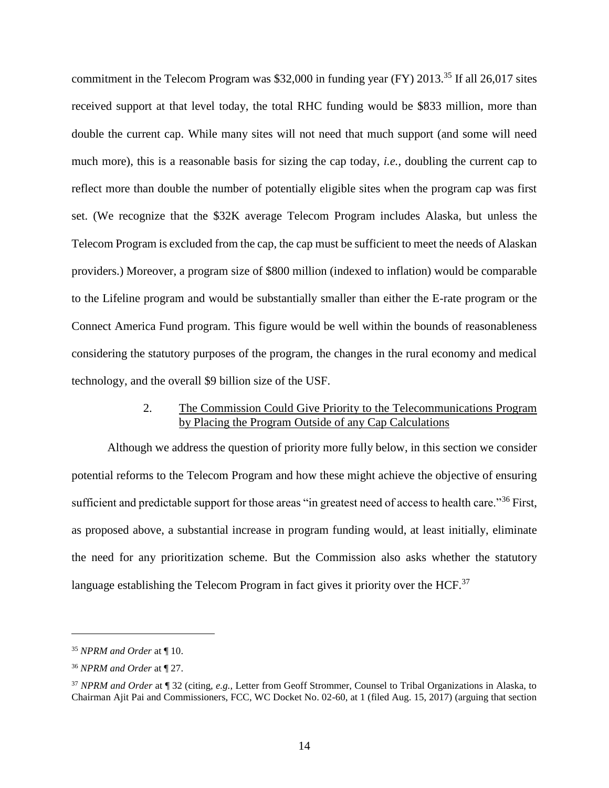commitment in the Telecom Program was \$32,000 in funding year (FY) 2013.<sup>35</sup> If all 26,017 sites received support at that level today, the total RHC funding would be \$833 million, more than double the current cap. While many sites will not need that much support (and some will need much more), this is a reasonable basis for sizing the cap today, *i.e.,* doubling the current cap to reflect more than double the number of potentially eligible sites when the program cap was first set. (We recognize that the \$32K average Telecom Program includes Alaska, but unless the Telecom Program is excluded from the cap, the cap must be sufficient to meet the needs of Alaskan providers.) Moreover, a program size of \$800 million (indexed to inflation) would be comparable to the Lifeline program and would be substantially smaller than either the E-rate program or the Connect America Fund program. This figure would be well within the bounds of reasonableness considering the statutory purposes of the program, the changes in the rural economy and medical technology, and the overall \$9 billion size of the USF.

#### 2. The Commission Could Give Priority to the Telecommunications Program by Placing the Program Outside of any Cap Calculations

<span id="page-18-0"></span>Although we address the question of priority more fully below, in this section we consider potential reforms to the Telecom Program and how these might achieve the objective of ensuring sufficient and predictable support for those areas "in greatest need of access to health care."<sup>36</sup> First, as proposed above, a substantial increase in program funding would, at least initially, eliminate the need for any prioritization scheme. But the Commission also asks whether the statutory language establishing the Telecom Program in fact gives it priority over the  $HCF<sup>37</sup>$ 

<sup>35</sup> *NPRM and Order* at ¶ 10.

<sup>36</sup> *NPRM and Order* at ¶ 27.

<sup>37</sup> *NPRM and Order* at ¶ 32 (citing, *e.g.,* Letter from Geoff Strommer, Counsel to Tribal Organizations in Alaska, to Chairman Ajit Pai and Commissioners, FCC, WC Docket No. 02-60, at 1 (filed Aug. 15, 2017) (arguing that section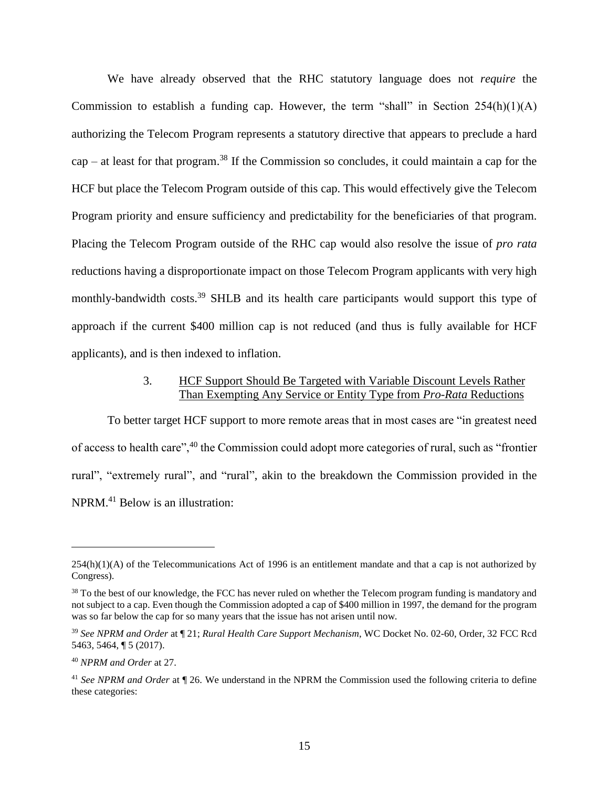We have already observed that the RHC statutory language does not *require* the Commission to establish a funding cap. However, the term "shall" in Section  $254(h)(1)(A)$ authorizing the Telecom Program represents a statutory directive that appears to preclude a hard  $cap -$  at least for that program.<sup>38</sup> If the Commission so concludes, it could maintain a cap for the HCF but place the Telecom Program outside of this cap. This would effectively give the Telecom Program priority and ensure sufficiency and predictability for the beneficiaries of that program. Placing the Telecom Program outside of the RHC cap would also resolve the issue of *pro rata* reductions having a disproportionate impact on those Telecom Program applicants with very high monthly-bandwidth costs.<sup>39</sup> SHLB and its health care participants would support this type of approach if the current \$400 million cap is not reduced (and thus is fully available for HCF applicants), and is then indexed to inflation.

#### 3. HCF Support Should Be Targeted with Variable Discount Levels Rather Than Exempting Any Service or Entity Type from *Pro-Rata* Reductions

<span id="page-19-0"></span>To better target HCF support to more remote areas that in most cases are "in greatest need of access to health care",<sup>40</sup> the Commission could adopt more categories of rural, such as "frontier rural", "extremely rural", and "rural", akin to the breakdown the Commission provided in the NPRM. <sup>41</sup> Below is an illustration:

<sup>254(</sup>h)(1)(A) of the Telecommunications Act of 1996 is an entitlement mandate and that a cap is not authorized by Congress).

<sup>&</sup>lt;sup>38</sup> To the best of our knowledge, the FCC has never ruled on whether the Telecom program funding is mandatory and not subject to a cap. Even though the Commission adopted a cap of \$400 million in 1997, the demand for the program was so far below the cap for so many years that the issue has not arisen until now.

<sup>39</sup> *See NPRM and Order* at ¶ 21; *Rural Health Care Support Mechanism*, WC Docket No. 02-60, Order, 32 FCC Rcd 5463, 5464, ¶ 5 (2017).

<sup>40</sup> *NPRM and Order* at 27.

<sup>41</sup> *See NPRM and Order* at ¶ 26. We understand in the NPRM the Commission used the following criteria to define these categories: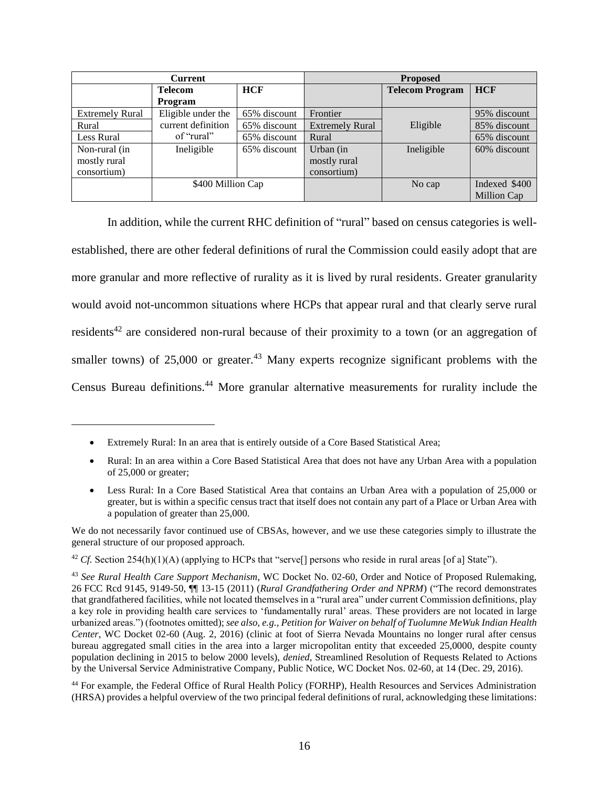| <b>Current</b>         |                    | <b>Proposed</b> |                        |                        |               |
|------------------------|--------------------|-----------------|------------------------|------------------------|---------------|
|                        | <b>Telecom</b>     | <b>HCF</b>      |                        | <b>Telecom Program</b> | <b>HCF</b>    |
|                        | Program            |                 |                        |                        |               |
| <b>Extremely Rural</b> | Eligible under the | 65% discount    | Frontier               |                        | 95% discount  |
| Rural                  | current definition | 65% discount    | <b>Extremely Rural</b> | Eligible               | 85% discount  |
| Less Rural             | of "rural"         | 65% discount    | Rural                  |                        | 65% discount  |
| Non-rural (in          | Ineligible         | 65% discount    | Urban (in              | Ineligible             | 60% discount  |
| mostly rural           |                    |                 | mostly rural           |                        |               |
| consortium)            |                    |                 | consortium)            |                        |               |
|                        | \$400 Million Cap  |                 |                        | No cap                 | Indexed \$400 |
|                        |                    |                 |                        |                        | Million Cap   |

In addition, while the current RHC definition of "rural" based on census categories is wellestablished, there are other federal definitions of rural the Commission could easily adopt that are more granular and more reflective of rurality as it is lived by rural residents. Greater granularity would avoid not-uncommon situations where HCPs that appear rural and that clearly serve rural residents<sup>42</sup> are considered non-rural because of their proximity to a town (or an aggregation of smaller towns) of 25,000 or greater.<sup>43</sup> Many experts recognize significant problems with the Census Bureau definitions.<sup>44</sup> More granular alternative measurements for rurality include the

 $\overline{a}$ 

We do not necessarily favor continued use of CBSAs, however, and we use these categories simply to illustrate the general structure of our proposed approach.

<sup>42</sup> *Cf.* Section 254(h)(1)(A) (applying to HCPs that "serve[] persons who reside in rural areas [of a] State").

<sup>44</sup> For example, the Federal Office of Rural Health Policy (FORHP), Health Resources and Services Administration (HRSA) provides a helpful overview of the two principal federal definitions of rural, acknowledging these limitations:

<sup>•</sup> Extremely Rural: In an area that is entirely outside of a Core Based Statistical Area;

<sup>•</sup> Rural: In an area within a Core Based Statistical Area that does not have any Urban Area with a population of 25,000 or greater;

<sup>•</sup> Less Rural: In a Core Based Statistical Area that contains an Urban Area with a population of 25,000 or greater, but is within a specific census tract that itself does not contain any part of a Place or Urban Area with a population of greater than 25,000.

<sup>43</sup> *See Rural Health Care Support Mechanism*, WC Docket No. 02-60, Order and Notice of Proposed Rulemaking, 26 FCC Rcd 9145, 9149-50, ¶¶ 13-15 (2011) (*Rural Grandfathering Order and NPRM*) ("The record demonstrates that grandfathered facilities, while not located themselves in a "rural area" under current Commission definitions, play a key role in providing health care services to 'fundamentally rural' areas. These providers are not located in large urbanized areas.") (footnotes omitted); *see also, e.g., Petition for Waiver on behalf of Tuolumne MeWuk Indian Health Center*, WC Docket 02-60 (Aug. 2, 2016) (clinic at foot of Sierra Nevada Mountains no longer rural after census bureau aggregated small cities in the area into a larger micropolitan entity that exceeded 25,0000, despite county population declining in 2015 to below 2000 levels), *denied,* Streamlined Resolution of Requests Related to Actions by the Universal Service Administrative Company, Public Notice, WC Docket Nos. 02-60, at 14 (Dec. 29, 2016).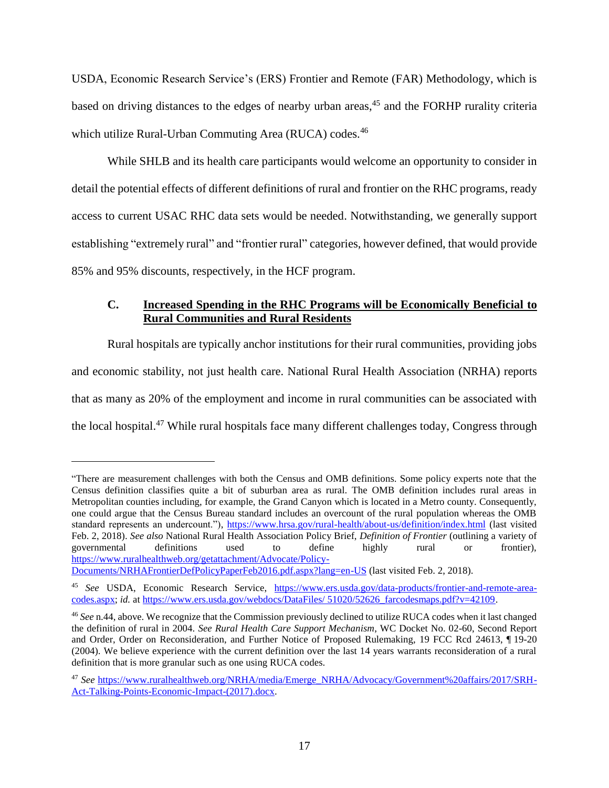USDA, Economic Research Service's (ERS) Frontier and Remote (FAR) Methodology, which is based on driving distances to the edges of nearby urban areas,<sup>45</sup> and the FORHP rurality criteria which utilize Rural-Urban Commuting Area (RUCA) codes.<sup>46</sup>

While SHLB and its health care participants would welcome an opportunity to consider in detail the potential effects of different definitions of rural and frontier on the RHC programs, ready access to current USAC RHC data sets would be needed. Notwithstanding, we generally support establishing "extremely rural" and "frontier rural" categories, however defined, that would provide 85% and 95% discounts, respectively, in the HCF program.

## <span id="page-21-0"></span>**C. Increased Spending in the RHC Programs will be Economically Beneficial to Rural Communities and Rural Residents**

Rural hospitals are typically anchor institutions for their rural communities, providing jobs and economic stability, not just health care. National Rural Health Association (NRHA) reports that as many as 20% of the employment and income in rural communities can be associated with the local hospital.<sup>47</sup> While rural hospitals face many different challenges today, Congress through

<sup>&</sup>quot;There are measurement challenges with both the Census and OMB definitions. Some policy experts note that the Census definition classifies quite a bit of suburban area as rural. The OMB definition includes rural areas in Metropolitan counties including, for example, the Grand Canyon which is located in a Metro county. Consequently, one could argue that the Census Bureau standard includes an overcount of the rural population whereas the OMB standard represents an undercount."),<https://www.hrsa.gov/rural-health/about-us/definition/index.html> (last visited Feb. 2, 2018). *See also* National Rural Health Association Policy Brief, *Definition of Frontier* (outlining a variety of governmental definitions used to define highly rural or frontier), [https://www.ruralhealthweb.org/getattachment/Advocate/Policy-](https://www.ruralhealthweb.org/getattachment/Advocate/Policy-Documents/NRHAFrontierDefPolicyPaperFeb2016.pdf.aspx?lang=en-US)

[Documents/NRHAFrontierDefPolicyPaperFeb2016.pdf.aspx?lang=en-US](https://www.ruralhealthweb.org/getattachment/Advocate/Policy-Documents/NRHAFrontierDefPolicyPaperFeb2016.pdf.aspx?lang=en-US) (last visited Feb. 2, 2018).

<sup>45</sup> *See* USDA, Economic Research Service, [https://www.ers.usda.gov/data-products/frontier-and-remote-area](https://www.ers.usda.gov/data-products/frontier-and-remote-area-codes.aspx)[codes.aspx;](https://www.ers.usda.gov/data-products/frontier-and-remote-area-codes.aspx) *id.* at [https://www.ers.usda.gov/webdocs/DataFiles/ 51020/52626\\_farcodesmaps.pdf?v=42109.](https://www.ers.usda.gov/webdocs/DataFiles/51020/52626_farcodesmaps.pdf?v=42109)

<sup>46</sup> *See* n.44, above. We recognize that the Commission previously declined to utilize RUCA codes when it last changed the definition of rural in 2004. *See Rural Health Care Support Mechanism*, WC Docket No. 02-60, Second Report and Order, Order on Reconsideration, and Further Notice of Proposed Rulemaking, 19 FCC Rcd 24613, ¶ 19-20 (2004). We believe experience with the current definition over the last 14 years warrants reconsideration of a rural definition that is more granular such as one using RUCA codes.

<sup>47</sup> *See* [https://www.ruralhealthweb.org/NRHA/media/Emerge\\_NRHA/Advocacy/Government%20affairs/2017/SRH-](https://www.ruralhealthweb.org/NRHA/media/Emerge_NRHA/Advocacy/Government%20affairs/2017/SRH-Act-Talking-Points-Economic-Impact-(2017).docx)[Act-Talking-Points-Economic-Impact-\(2017\).docx.](https://www.ruralhealthweb.org/NRHA/media/Emerge_NRHA/Advocacy/Government%20affairs/2017/SRH-Act-Talking-Points-Economic-Impact-(2017).docx)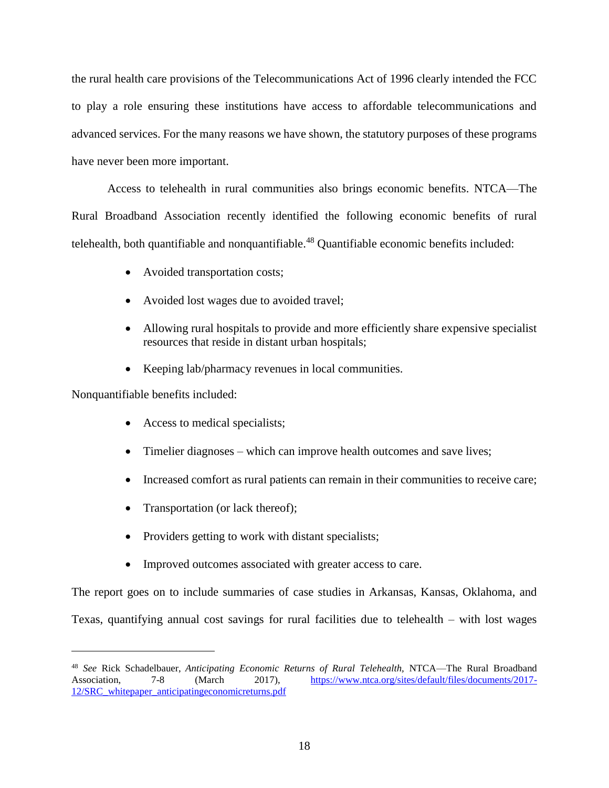the rural health care provisions of the Telecommunications Act of 1996 clearly intended the FCC to play a role ensuring these institutions have access to affordable telecommunications and advanced services. For the many reasons we have shown, the statutory purposes of these programs have never been more important.

Access to telehealth in rural communities also brings economic benefits. NTCA—The Rural Broadband Association recently identified the following economic benefits of rural telehealth, both quantifiable and nonquantifiable.<sup>48</sup> Quantifiable economic benefits included:

- Avoided transportation costs;
- Avoided lost wages due to avoided travel;
- Allowing rural hospitals to provide and more efficiently share expensive specialist resources that reside in distant urban hospitals;
- Keeping lab/pharmacy revenues in local communities.

Nonquantifiable benefits included:

 $\overline{a}$ 

- Access to medical specialists;
- Timelier diagnoses which can improve health outcomes and save lives;
- Increased comfort as rural patients can remain in their communities to receive care;
- Transportation (or lack thereof);
- Providers getting to work with distant specialists;
- Improved outcomes associated with greater access to care.

The report goes on to include summaries of case studies in Arkansas, Kansas, Oklahoma, and Texas, quantifying annual cost savings for rural facilities due to telehealth – with lost wages

<sup>48</sup> *See* Rick Schadelbauer, *Anticipating Economic Returns of Rural Telehealth,* NTCA—The Rural Broadband Association, 7-8 (March 2017), [https://www.ntca.org/sites/default/files/documents/2017-](https://www.ntca.org/sites/default/files/documents/2017-12/SRC_whitepaper_anticipatingeconomicreturns.pdf) [12/SRC\\_whitepaper\\_anticipatingeconomicreturns.pdf](https://www.ntca.org/sites/default/files/documents/2017-12/SRC_whitepaper_anticipatingeconomicreturns.pdf)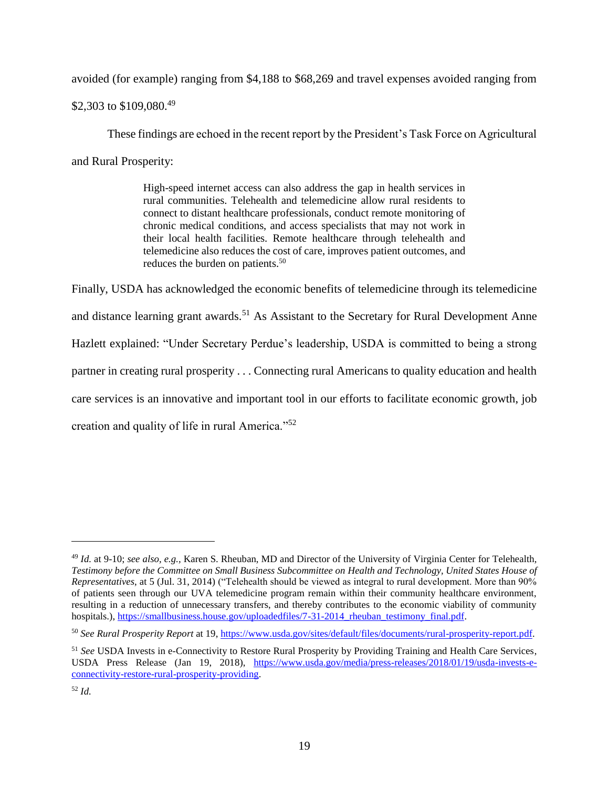avoided (for example) ranging from \$4,188 to \$68,269 and travel expenses avoided ranging from

\$2,303 to \$109,080.<sup>49</sup>

These findings are echoed in the recent report by the President's Task Force on Agricultural and Rural Prosperity:

> High-speed internet access can also address the gap in health services in rural communities. Telehealth and telemedicine allow rural residents to connect to distant healthcare professionals, conduct remote monitoring of chronic medical conditions, and access specialists that may not work in their local health facilities. Remote healthcare through telehealth and telemedicine also reduces the cost of care, improves patient outcomes, and reduces the burden on patients.<sup>50</sup>

Finally, USDA has acknowledged the economic benefits of telemedicine through its telemedicine and distance learning grant awards.<sup>51</sup> As Assistant to the Secretary for Rural Development Anne Hazlett explained: "Under Secretary Perdue's leadership, USDA is committed to being a strong partner in creating rural prosperity . . . Connecting rural Americans to quality education and health care services is an innovative and important tool in our efforts to facilitate economic growth, job creation and quality of life in rural America."<sup>52</sup>

<sup>49</sup> *Id.* at 9-10; *see also, e.g.,* Karen S. Rheuban, MD and Director of the University of Virginia Center for Telehealth*, Testimony before the Committee on Small Business Subcommittee on Health and Technology, United States House of Representatives*, at 5 (Jul. 31, 2014) ("Telehealth should be viewed as integral to rural development. More than 90% of patients seen through our UVA telemedicine program remain within their community healthcare environment, resulting in a reduction of unnecessary transfers, and thereby contributes to the economic viability of community hospitals.), https://smallbusiness.house.gov/uploadedfiles/7-31-2014 rheuban\_testimony\_final.pdf.

<sup>50</sup> *See Rural Prosperity Report* at 19, [https://www.usda.gov/sites/default/files/documents/rural-prosperity-report.pdf.](https://www.usda.gov/sites/default/files/documents/rural-prosperity-report.pdf)

<sup>51</sup> *See* USDA Invests in e-Connectivity to Restore Rural Prosperity by Providing Training and Health Care Services, USDA Press Release (Jan 19, 2018), [https://www.usda.gov/media/press-releases/2018/01/19/usda-invests-e](https://www.usda.gov/media/press-releases/2018/01/19/usda-invests-e-connectivity-restore-rural-prosperity-providing)[connectivity-restore-rural-prosperity-providing.](https://www.usda.gov/media/press-releases/2018/01/19/usda-invests-e-connectivity-restore-rural-prosperity-providing)

<sup>52</sup> *Id.*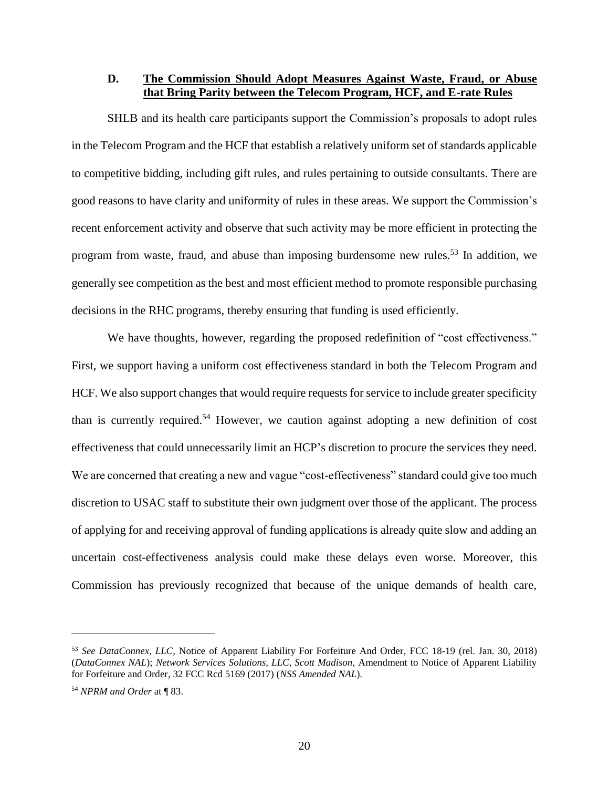<span id="page-24-0"></span>**D. The Commission Should Adopt Measures Against Waste, Fraud, or Abuse that Bring Parity between the Telecom Program, HCF, and E-rate Rules**

SHLB and its health care participants support the Commission's proposals to adopt rules in the Telecom Program and the HCF that establish a relatively uniform set of standards applicable to competitive bidding, including gift rules, and rules pertaining to outside consultants. There are good reasons to have clarity and uniformity of rules in these areas. We support the Commission's recent enforcement activity and observe that such activity may be more efficient in protecting the program from waste, fraud, and abuse than imposing burdensome new rules.<sup>53</sup> In addition, we generally see competition as the best and most efficient method to promote responsible purchasing decisions in the RHC programs, thereby ensuring that funding is used efficiently.

We have thoughts, however, regarding the proposed redefinition of "cost effectiveness." First, we support having a uniform cost effectiveness standard in both the Telecom Program and HCF. We also support changes that would require requests for service to include greater specificity than is currently required.<sup>54</sup> However, we caution against adopting a new definition of cost effectiveness that could unnecessarily limit an HCP's discretion to procure the services they need. We are concerned that creating a new and vague "cost-effectiveness" standard could give too much discretion to USAC staff to substitute their own judgment over those of the applicant. The process of applying for and receiving approval of funding applications is already quite slow and adding an uncertain cost-effectiveness analysis could make these delays even worse. Moreover, this Commission has previously recognized that because of the unique demands of health care,

<sup>53</sup> *See DataConnex, LLC*, Notice of Apparent Liability For Forfeiture And Order, FCC 18-19 (rel. Jan. 30, 2018) (*DataConnex NAL*); *Network Services Solutions, LLC, Scott Madison,* Amendment to Notice of Apparent Liability for Forfeiture and Order, 32 FCC Rcd 5169 (2017) (*NSS Amended NAL*)*.*

<sup>54</sup> *NPRM and Order* at ¶ 83.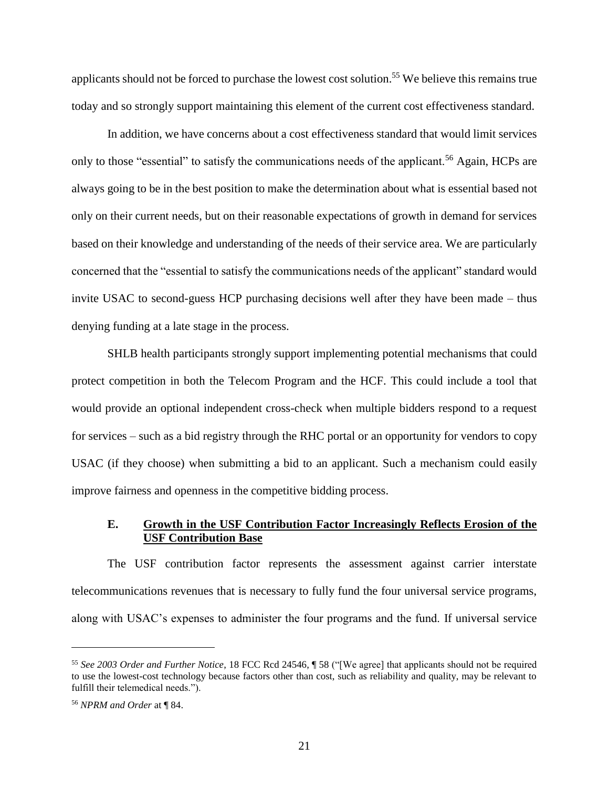applicants should not be forced to purchase the lowest cost solution.<sup>55</sup> We believe this remains true today and so strongly support maintaining this element of the current cost effectiveness standard.

In addition, we have concerns about a cost effectiveness standard that would limit services only to those "essential" to satisfy the communications needs of the applicant.<sup>56</sup> Again, HCPs are always going to be in the best position to make the determination about what is essential based not only on their current needs, but on their reasonable expectations of growth in demand for services based on their knowledge and understanding of the needs of their service area. We are particularly concerned that the "essential to satisfy the communications needs of the applicant" standard would invite USAC to second-guess HCP purchasing decisions well after they have been made – thus denying funding at a late stage in the process.

SHLB health participants strongly support implementing potential mechanisms that could protect competition in both the Telecom Program and the HCF. This could include a tool that would provide an optional independent cross-check when multiple bidders respond to a request for services – such as a bid registry through the RHC portal or an opportunity for vendors to copy USAC (if they choose) when submitting a bid to an applicant. Such a mechanism could easily improve fairness and openness in the competitive bidding process.

#### <span id="page-25-0"></span>**E. Growth in the USF Contribution Factor Increasingly Reflects Erosion of the USF Contribution Base**

The USF contribution factor represents the assessment against carrier interstate telecommunications revenues that is necessary to fully fund the four universal service programs, along with USAC's expenses to administer the four programs and the fund. If universal service

<sup>55</sup> *See 2003 Order and Further Notice*, 18 FCC Rcd 24546, ¶ 58 ("[We agree] that applicants should not be required to use the lowest-cost technology because factors other than cost, such as reliability and quality, may be relevant to fulfill their telemedical needs.").

<sup>56</sup> *NPRM and Order* at ¶ 84.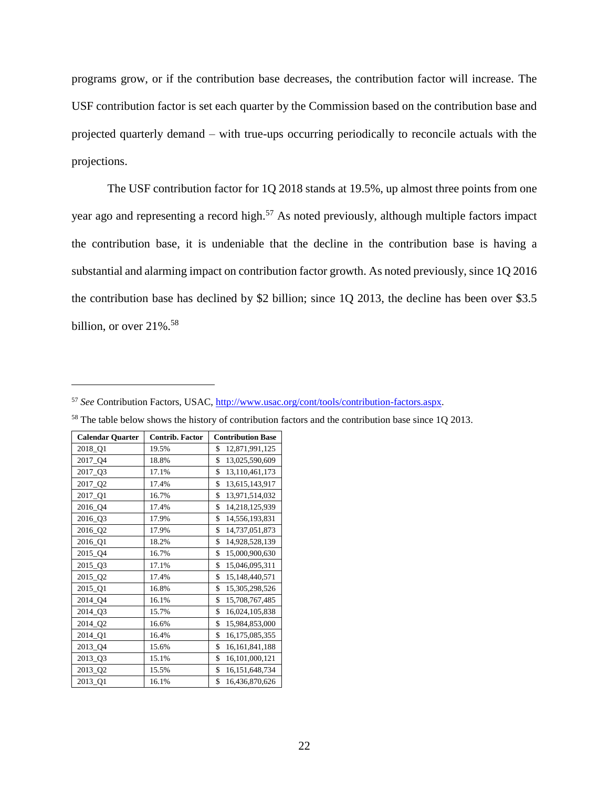programs grow, or if the contribution base decreases, the contribution factor will increase. The USF contribution factor is set each quarter by the Commission based on the contribution base and projected quarterly demand – with true-ups occurring periodically to reconcile actuals with the projections.

The USF contribution factor for 1Q 2018 stands at 19.5%, up almost three points from one year ago and representing a record high.<sup>57</sup> As noted previously, although multiple factors impact the contribution base, it is undeniable that the decline in the contribution base is having a substantial and alarming impact on contribution factor growth. As noted previously, since 1Q 2016 the contribution base has declined by \$2 billion; since 1Q 2013, the decline has been over \$3.5 billion, or over  $21\%$ .<sup>58</sup>

<sup>57</sup> *See* Contribution Factors, USAC, [http://www.usac.org/cont/tools/contribution-factors.aspx.](http://www.usac.org/cont/tools/contribution-factors.aspx)

| <b>Calendar Quarter</b> | <b>Contrib. Factor</b> | <b>Contribution Base</b> |
|-------------------------|------------------------|--------------------------|
| 2018_Q1                 | 19.5%                  | \$<br>12,871,991,125     |
| 2017_Q4                 | 18.8%                  | \$<br>13,025,590,609     |
| 2017_Q3                 | 17.1%                  | \$<br>13,110,461,173     |
| 2017_Q2                 | 17.4%                  | \$<br>13,615,143,917     |
| 2017_Q1                 | 16.7%                  | \$<br>13,971,514,032     |
| 2016_Q4                 | 17.4%                  | \$<br>14,218,125,939     |
| 2016_Q3                 | 17.9%                  | \$<br>14,556,193,831     |
| 2016_Q2                 | 17.9%                  | \$<br>14,737,051,873     |
| 2016_Q1                 | 18.2%                  | \$<br>14,928,528,139     |
| 2015_Q4                 | 16.7%                  | \$<br>15,000,900,630     |
| 2015_Q3                 | 17.1%                  | \$<br>15,046,095,311     |
| 2015_Q2                 | 17.4%                  | \$<br>15,148,440,571     |
| 2015_Q1                 | 16.8%                  | \$<br>15,305,298,526     |
| 2014_Q4                 | 16.1%                  | \$<br>15,708,767,485     |
| 2014_Q3                 | 15.7%                  | \$<br>16,024,105,838     |
| 2014_Q2                 | 16.6%                  | \$<br>15,984,853,000     |
| 2014_Q1                 | 16.4%                  | \$<br>16,175,085,355     |
| 2013_Q4                 | 15.6%                  | \$<br>16, 161, 841, 188  |
| 2013_Q3                 | 15.1%                  | \$<br>16,101,000,121     |
| 2013_Q2                 | 15.5%                  | \$<br>16, 151, 648, 734  |
| 2013_Q1                 | 16.1%                  | \$<br>16,436,870,626     |

 $\overline{a}$ 

<sup>58</sup> The table below shows the history of contribution factors and the contribution base since 1Q 2013.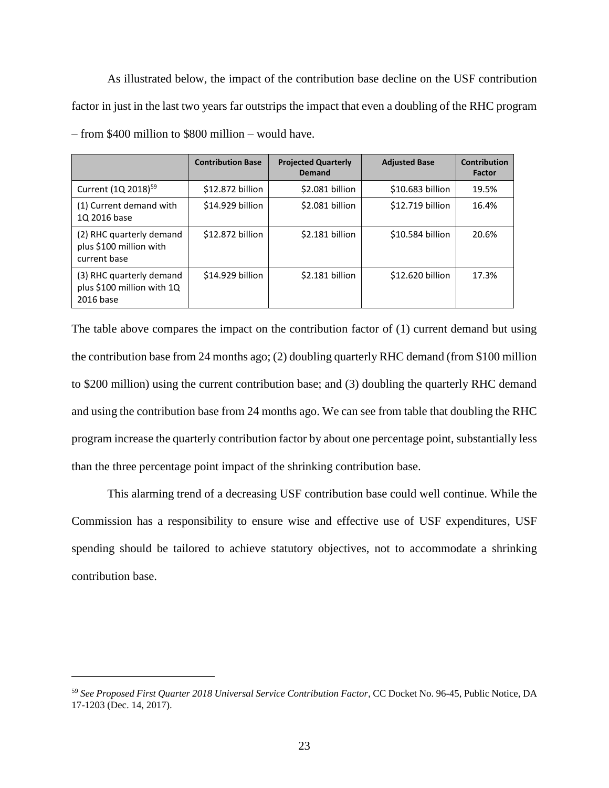As illustrated below, the impact of the contribution base decline on the USF contribution factor in just in the last two years far outstrips the impact that even a doubling of the RHC program – from \$400 million to \$800 million – would have.

|                                                                     | <b>Contribution Base</b> | <b>Projected Quarterly</b><br>Demand | <b>Adjusted Base</b> | Contribution<br>Factor |
|---------------------------------------------------------------------|--------------------------|--------------------------------------|----------------------|------------------------|
| Current (1Q 2018) <sup>59</sup>                                     | \$12,872 billion         | \$2.081 billion                      | \$10,683 billion     | 19.5%                  |
| (1) Current demand with<br>1Q 2016 base                             | \$14.929 billion         | \$2.081 billion                      | \$12.719 billion     | 16.4%                  |
| (2) RHC quarterly demand<br>plus \$100 million with<br>current base | \$12,872 billion         | \$2.181 billion                      | \$10.584 billion     | 20.6%                  |
| (3) RHC quarterly demand<br>plus \$100 million with 1Q<br>2016 base | \$14.929 billion         | \$2.181 billion                      | \$12.620 billion     | 17.3%                  |

The table above compares the impact on the contribution factor of (1) current demand but using the contribution base from 24 months ago; (2) doubling quarterly RHC demand (from \$100 million to \$200 million) using the current contribution base; and (3) doubling the quarterly RHC demand and using the contribution base from 24 months ago. We can see from table that doubling the RHC program increase the quarterly contribution factor by about one percentage point, substantially less than the three percentage point impact of the shrinking contribution base.

This alarming trend of a decreasing USF contribution base could well continue. While the Commission has a responsibility to ensure wise and effective use of USF expenditures, USF spending should be tailored to achieve statutory objectives, not to accommodate a shrinking contribution base.

<sup>59</sup> *See Proposed First Quarter 2018 Universal Service Contribution Factor*, CC Docket No. 96-45, Public Notice, DA 17-1203 (Dec. 14, 2017).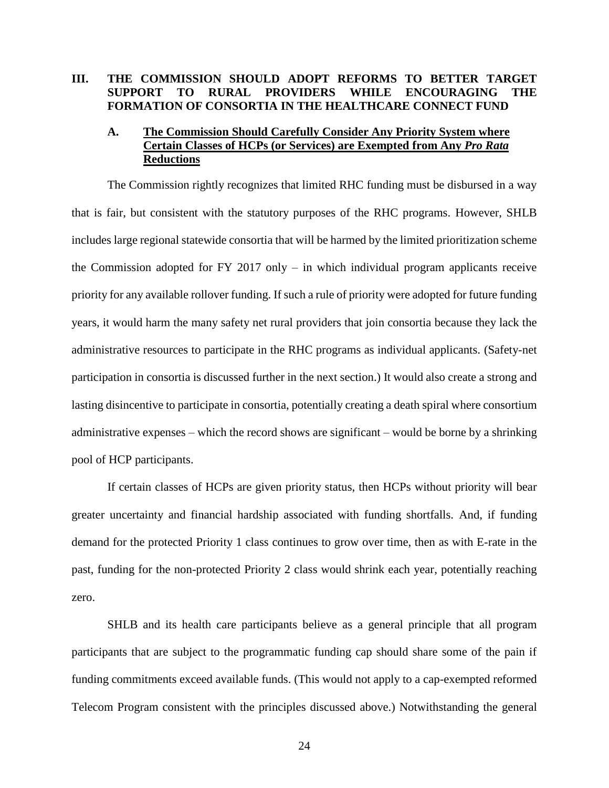## <span id="page-28-0"></span>**III. THE COMMISSION SHOULD ADOPT REFORMS TO BETTER TARGET SUPPORT TO RURAL PROVIDERS WHILE ENCOURAGING THE FORMATION OF CONSORTIA IN THE HEALTHCARE CONNECT FUND**

## <span id="page-28-1"></span>**A. The Commission Should Carefully Consider Any Priority System where Certain Classes of HCPs (or Services) are Exempted from Any** *Pro Rata* **Reductions**

The Commission rightly recognizes that limited RHC funding must be disbursed in a way that is fair, but consistent with the statutory purposes of the RHC programs. However, SHLB includes large regional statewide consortia that will be harmed by the limited prioritization scheme the Commission adopted for FY 2017 only  $-$  in which individual program applicants receive priority for any available rollover funding. If such a rule of priority were adopted for future funding years, it would harm the many safety net rural providers that join consortia because they lack the administrative resources to participate in the RHC programs as individual applicants. (Safety-net participation in consortia is discussed further in the next section.) It would also create a strong and lasting disincentive to participate in consortia, potentially creating a death spiral where consortium administrative expenses – which the record shows are significant – would be borne by a shrinking pool of HCP participants.

If certain classes of HCPs are given priority status, then HCPs without priority will bear greater uncertainty and financial hardship associated with funding shortfalls. And, if funding demand for the protected Priority 1 class continues to grow over time, then as with E-rate in the past, funding for the non-protected Priority 2 class would shrink each year, potentially reaching zero.

SHLB and its health care participants believe as a general principle that all program participants that are subject to the programmatic funding cap should share some of the pain if funding commitments exceed available funds. (This would not apply to a cap-exempted reformed Telecom Program consistent with the principles discussed above.) Notwithstanding the general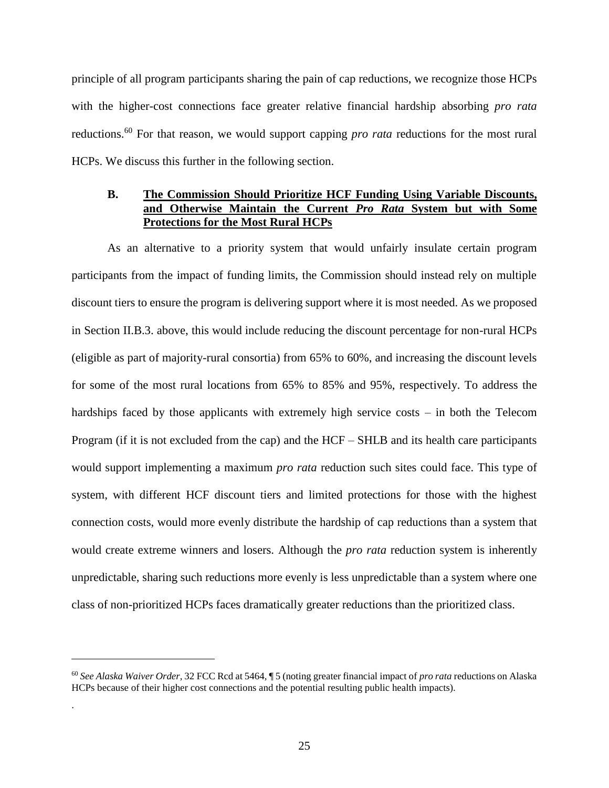principle of all program participants sharing the pain of cap reductions, we recognize those HCPs with the higher-cost connections face greater relative financial hardship absorbing *pro rata* reductions.<sup>60</sup> For that reason, we would support capping *pro rata* reductions for the most rural HCPs. We discuss this further in the following section.

#### <span id="page-29-0"></span>**B. The Commission Should Prioritize HCF Funding Using Variable Discounts, and Otherwise Maintain the Current** *Pro Rata* **System but with Some Protections for the Most Rural HCPs**

As an alternative to a priority system that would unfairly insulate certain program participants from the impact of funding limits, the Commission should instead rely on multiple discount tiers to ensure the program is delivering support where it is most needed. As we proposed in Section II.B.3. above, this would include reducing the discount percentage for non-rural HCPs (eligible as part of majority-rural consortia) from 65% to 60%, and increasing the discount levels for some of the most rural locations from 65% to 85% and 95%, respectively. To address the hardships faced by those applicants with extremely high service costs – in both the Telecom Program (if it is not excluded from the cap) and the HCF – SHLB and its health care participants would support implementing a maximum *pro rata* reduction such sites could face. This type of system, with different HCF discount tiers and limited protections for those with the highest connection costs, would more evenly distribute the hardship of cap reductions than a system that would create extreme winners and losers. Although the *pro rata* reduction system is inherently unpredictable, sharing such reductions more evenly is less unpredictable than a system where one class of non-prioritized HCPs faces dramatically greater reductions than the prioritized class.

 $\overline{a}$ 

.

<sup>60</sup> *See Alaska Waiver Order*, 32 FCC Rcd at 5464, ¶ 5 (noting greater financial impact of *pro rata* reductions on Alaska HCPs because of their higher cost connections and the potential resulting public health impacts).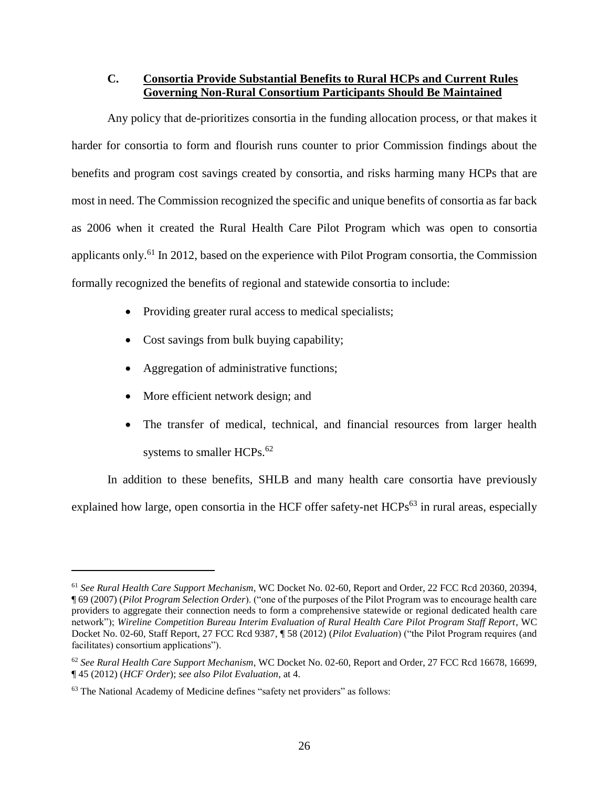### <span id="page-30-0"></span>**C. Consortia Provide Substantial Benefits to Rural HCPs and Current Rules Governing Non-Rural Consortium Participants Should Be Maintained**

Any policy that de-prioritizes consortia in the funding allocation process, or that makes it harder for consortia to form and flourish runs counter to prior Commission findings about the benefits and program cost savings created by consortia, and risks harming many HCPs that are most in need. The Commission recognized the specific and unique benefits of consortia as far back as 2006 when it created the Rural Health Care Pilot Program which was open to consortia applicants only.<sup>61</sup> In 2012, based on the experience with Pilot Program consortia, the Commission formally recognized the benefits of regional and statewide consortia to include:

- Providing greater rural access to medical specialists;
- Cost savings from bulk buying capability;
- Aggregation of administrative functions;
- More efficient network design; and

 $\overline{a}$ 

• The transfer of medical, technical, and financial resources from larger health systems to smaller HCPs.<sup>62</sup>

In addition to these benefits, SHLB and many health care consortia have previously explained how large, open consortia in the HCF offer safety-net HCPs<sup>63</sup> in rural areas, especially

<sup>61</sup> *See Rural Health Care Support Mechanism*, WC Docket No. 02-60, Report and Order, 22 FCC Rcd 20360, 20394, ¶ 69 (2007) (*Pilot Program Selection Order*). ("one of the purposes of the Pilot Program was to encourage health care providers to aggregate their connection needs to form a comprehensive statewide or regional dedicated health care network"); *Wireline Competition Bureau Interim Evaluation of Rural Health Care Pilot Program Staff Report*, WC Docket No. 02-60, Staff Report, 27 FCC Rcd 9387, ¶ 58 (2012) (*Pilot Evaluation*) ("the Pilot Program requires (and facilitates) consortium applications").

<sup>62</sup> *See Rural Health Care Support Mechanism*, WC Docket No. 02-60, Report and Order, 27 FCC Rcd 16678, 16699, ¶ 45 (2012) (*HCF Order*); *see also Pilot Evaluation*, at 4.

<sup>63</sup> The National Academy of Medicine defines "safety net providers" as follows: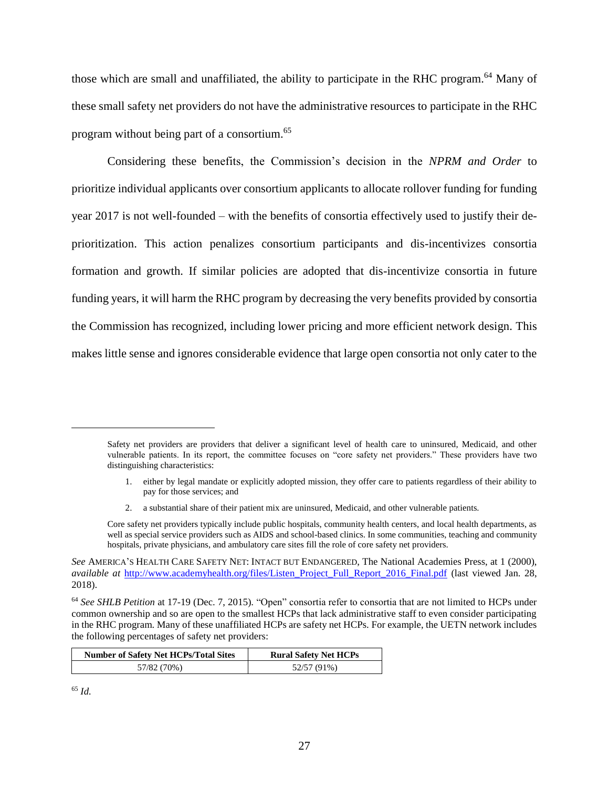those which are small and unaffiliated, the ability to participate in the RHC program.<sup>64</sup> Many of these small safety net providers do not have the administrative resources to participate in the RHC program without being part of a consortium.<sup>65</sup>

Considering these benefits, the Commission's decision in the *NPRM and Order* to prioritize individual applicants over consortium applicants to allocate rollover funding for funding year 2017 is not well-founded – with the benefits of consortia effectively used to justify their deprioritization. This action penalizes consortium participants and dis-incentivizes consortia formation and growth. If similar policies are adopted that dis-incentivize consortia in future funding years, it will harm the RHC program by decreasing the very benefits provided by consortia the Commission has recognized, including lower pricing and more efficient network design. This makes little sense and ignores considerable evidence that large open consortia not only cater to the

- 1. either by legal mandate or explicitly adopted mission, they offer care to patients regardless of their ability to pay for those services; and
- 2. a substantial share of their patient mix are uninsured, Medicaid, and other vulnerable patients.

<sup>64</sup> *See SHLB Petition* at 17-19 (Dec. 7, 2015). "Open" consortia refer to consortia that are not limited to HCPs under common ownership and so are open to the smallest HCPs that lack administrative staff to even consider participating in the RHC program. Many of these unaffiliated HCPs are safety net HCPs. For example, the UETN network includes the following percentages of safety net providers:

| <b>Number of Safety Net HCPs/Total Sites</b> | <b>Rural Safety Net HCPs</b> |
|----------------------------------------------|------------------------------|
| 57/82 (70%)                                  | 52/57 (91%)                  |

<sup>65</sup> *Id.*

Safety net providers are providers that deliver a significant level of health care to uninsured, Medicaid, and other vulnerable patients. In its report, the committee focuses on "core safety net providers." These providers have two distinguishing characteristics:

Core safety net providers typically include public hospitals, community health centers, and local health departments, as well as special service providers such as AIDS and school-based clinics. In some communities, teaching and community hospitals, private physicians, and ambulatory care sites fill the role of core safety net providers.

*See* AMERICA'S HEALTH CARE SAFETY NET: INTACT BUT ENDANGERED, The National Academies Press, at 1 (2000), *available at* [http://www.academyhealth.org/files/Listen\\_Project\\_Full\\_Report\\_2016\\_Final.pdf](http://www.academyhealth.org/files/Listen_Project_Full_Report_2016_Final.pdf) (last viewed Jan. 28, 2018).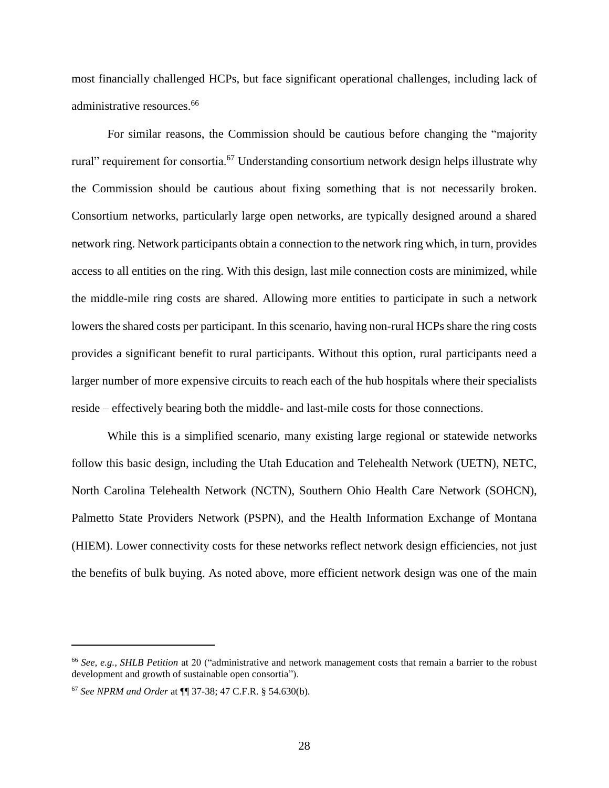most financially challenged HCPs, but face significant operational challenges, including lack of administrative resources. 66

For similar reasons, the Commission should be cautious before changing the "majority rural" requirement for consortia.<sup>67</sup> Understanding consortium network design helps illustrate why the Commission should be cautious about fixing something that is not necessarily broken. Consortium networks, particularly large open networks, are typically designed around a shared network ring. Network participants obtain a connection to the network ring which, in turn, provides access to all entities on the ring. With this design, last mile connection costs are minimized, while the middle-mile ring costs are shared. Allowing more entities to participate in such a network lowers the shared costs per participant. In this scenario, having non-rural HCPs share the ring costs provides a significant benefit to rural participants. Without this option, rural participants need a larger number of more expensive circuits to reach each of the hub hospitals where their specialists reside – effectively bearing both the middle- and last-mile costs for those connections.

While this is a simplified scenario, many existing large regional or statewide networks follow this basic design, including the Utah Education and Telehealth Network (UETN), NETC, North Carolina Telehealth Network (NCTN), Southern Ohio Health Care Network (SOHCN), Palmetto State Providers Network (PSPN), and the Health Information Exchange of Montana (HIEM). Lower connectivity costs for these networks reflect network design efficiencies, not just the benefits of bulk buying. As noted above, more efficient network design was one of the main

<sup>66</sup> *See, e.g., SHLB Petition* at 20 ("administrative and network management costs that remain a barrier to the robust development and growth of sustainable open consortia").

<sup>67</sup> *See NPRM and Order* at ¶¶ 37-38; 47 C.F.R. § 54.630(b).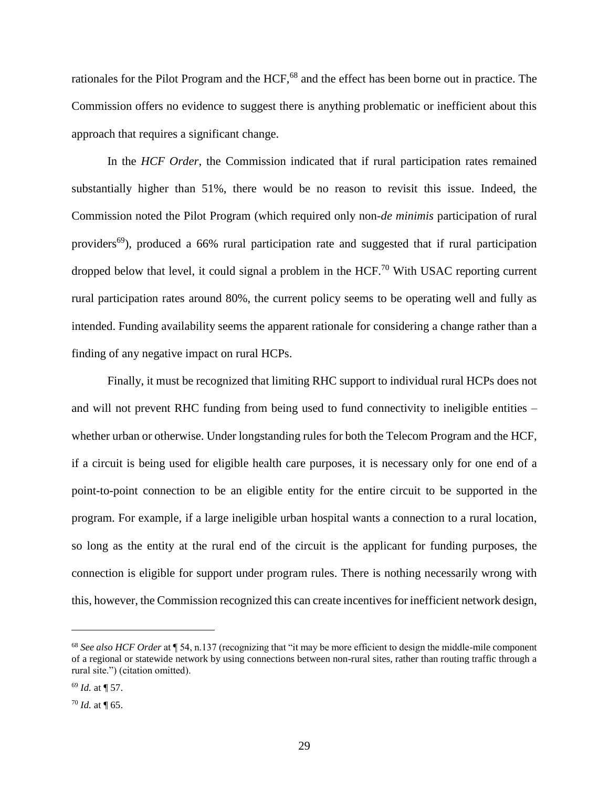rationales for the Pilot Program and the HCF,<sup>68</sup> and the effect has been borne out in practice. The Commission offers no evidence to suggest there is anything problematic or inefficient about this approach that requires a significant change.

In the *HCF Order*, the Commission indicated that if rural participation rates remained substantially higher than 51%, there would be no reason to revisit this issue. Indeed, the Commission noted the Pilot Program (which required only non-*de minimis* participation of rural providers<sup>69</sup>), produced a 66% rural participation rate and suggested that if rural participation dropped below that level, it could signal a problem in the HCF.<sup>70</sup> With USAC reporting current rural participation rates around 80%, the current policy seems to be operating well and fully as intended. Funding availability seems the apparent rationale for considering a change rather than a finding of any negative impact on rural HCPs.

Finally, it must be recognized that limiting RHC support to individual rural HCPs does not and will not prevent RHC funding from being used to fund connectivity to ineligible entities – whether urban or otherwise. Under longstanding rules for both the Telecom Program and the HCF, if a circuit is being used for eligible health care purposes, it is necessary only for one end of a point-to-point connection to be an eligible entity for the entire circuit to be supported in the program. For example, if a large ineligible urban hospital wants a connection to a rural location, so long as the entity at the rural end of the circuit is the applicant for funding purposes, the connection is eligible for support under program rules. There is nothing necessarily wrong with this, however, the Commission recognized this can create incentives for inefficient network design,

<sup>68</sup> *See also HCF Order* at ¶ 54, n.137 (recognizing that "it may be more efficient to design the middle-mile component of a regional or statewide network by using connections between non-rural sites, rather than routing traffic through a rural site.") (citation omitted).

<sup>69</sup> *Id.* at ¶ 57.

<sup>70</sup> *Id.* at ¶ 65.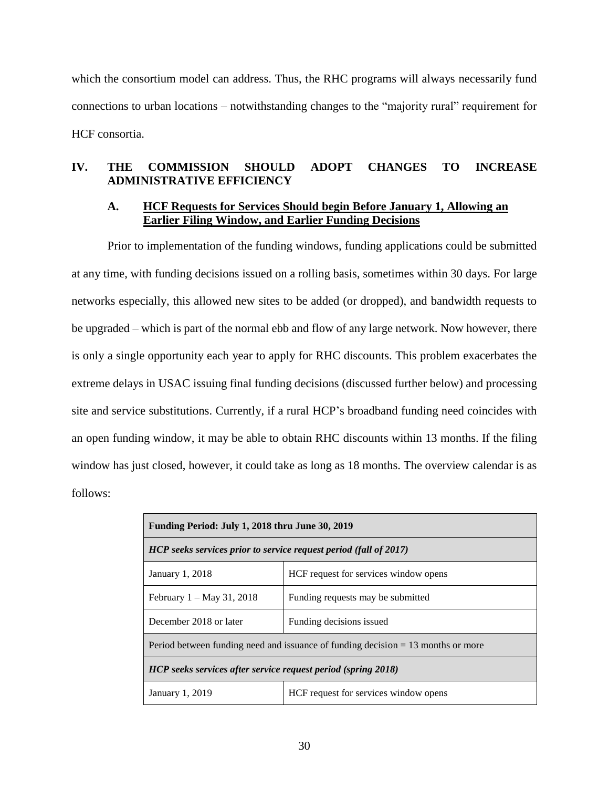which the consortium model can address. Thus, the RHC programs will always necessarily fund connections to urban locations – notwithstanding changes to the "majority rural" requirement for HCF consortia.

## <span id="page-34-0"></span>**IV. THE COMMISSION SHOULD ADOPT CHANGES TO INCREASE ADMINISTRATIVE EFFICIENCY**

#### <span id="page-34-1"></span>**A. HCF Requests for Services Should begin Before January 1, Allowing an Earlier Filing Window, and Earlier Funding Decisions**

Prior to implementation of the funding windows, funding applications could be submitted at any time, with funding decisions issued on a rolling basis, sometimes within 30 days. For large networks especially, this allowed new sites to be added (or dropped), and bandwidth requests to be upgraded – which is part of the normal ebb and flow of any large network. Now however, there is only a single opportunity each year to apply for RHC discounts. This problem exacerbates the extreme delays in USAC issuing final funding decisions (discussed further below) and processing site and service substitutions. Currently, if a rural HCP's broadband funding need coincides with an open funding window, it may be able to obtain RHC discounts within 13 months. If the filing window has just closed, however, it could take as long as 18 months. The overview calendar is as follows:

| Funding Period: July 1, 2018 thru June 30, 2019                                    |                                       |  |
|------------------------------------------------------------------------------------|---------------------------------------|--|
| HCP seeks services prior to service request period (fall of 2017)                  |                                       |  |
| January 1, 2018                                                                    | HCF request for services window opens |  |
| February $1 - May 31, 2018$                                                        | Funding requests may be submitted     |  |
| December 2018 or later                                                             | Funding decisions issued              |  |
| Period between funding need and issuance of funding decision $= 13$ months or more |                                       |  |
| HCP seeks services after service request period (spring 2018)                      |                                       |  |
| HCF request for services window opens<br>January 1, 2019                           |                                       |  |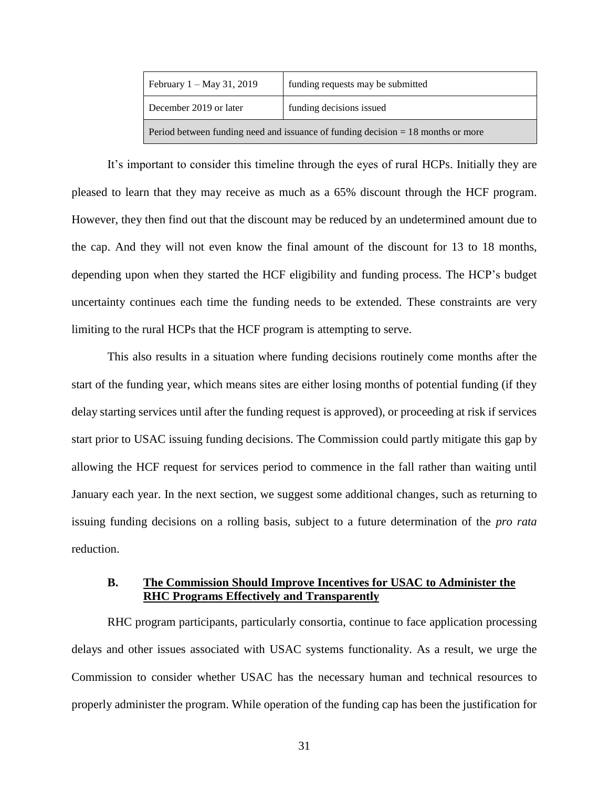| February $1 - May 31, 2019$                                                        | funding requests may be submitted |  |
|------------------------------------------------------------------------------------|-----------------------------------|--|
| December 2019 or later                                                             | funding decisions issued          |  |
| Period between funding need and issuance of funding decision $= 18$ months or more |                                   |  |

It's important to consider this timeline through the eyes of rural HCPs. Initially they are pleased to learn that they may receive as much as a 65% discount through the HCF program. However, they then find out that the discount may be reduced by an undetermined amount due to the cap. And they will not even know the final amount of the discount for 13 to 18 months, depending upon when they started the HCF eligibility and funding process. The HCP's budget uncertainty continues each time the funding needs to be extended. These constraints are very limiting to the rural HCPs that the HCF program is attempting to serve.

This also results in a situation where funding decisions routinely come months after the start of the funding year, which means sites are either losing months of potential funding (if they delay starting services until after the funding request is approved), or proceeding at risk if services start prior to USAC issuing funding decisions. The Commission could partly mitigate this gap by allowing the HCF request for services period to commence in the fall rather than waiting until January each year. In the next section, we suggest some additional changes, such as returning to issuing funding decisions on a rolling basis, subject to a future determination of the *pro rata*  reduction.

#### <span id="page-35-0"></span>**B. The Commission Should Improve Incentives for USAC to Administer the RHC Programs Effectively and Transparently**

RHC program participants, particularly consortia, continue to face application processing delays and other issues associated with USAC systems functionality. As a result, we urge the Commission to consider whether USAC has the necessary human and technical resources to properly administer the program. While operation of the funding cap has been the justification for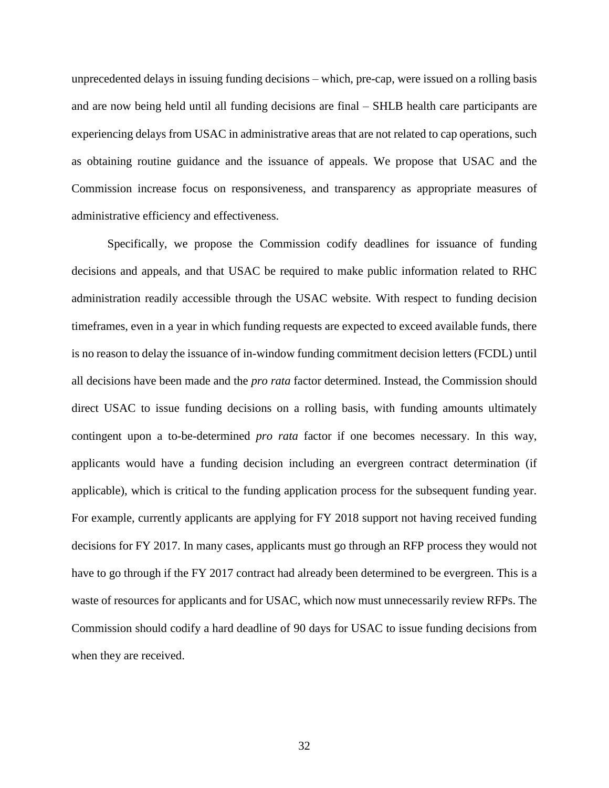unprecedented delays in issuing funding decisions – which, pre-cap, were issued on a rolling basis and are now being held until all funding decisions are final – SHLB health care participants are experiencing delays from USAC in administrative areas that are not related to cap operations, such as obtaining routine guidance and the issuance of appeals. We propose that USAC and the Commission increase focus on responsiveness, and transparency as appropriate measures of administrative efficiency and effectiveness.

Specifically, we propose the Commission codify deadlines for issuance of funding decisions and appeals, and that USAC be required to make public information related to RHC administration readily accessible through the USAC website. With respect to funding decision timeframes, even in a year in which funding requests are expected to exceed available funds, there is no reason to delay the issuance of in-window funding commitment decision letters (FCDL) until all decisions have been made and the *pro rata* factor determined. Instead, the Commission should direct USAC to issue funding decisions on a rolling basis, with funding amounts ultimately contingent upon a to-be-determined *pro rata* factor if one becomes necessary. In this way, applicants would have a funding decision including an evergreen contract determination (if applicable), which is critical to the funding application process for the subsequent funding year. For example, currently applicants are applying for FY 2018 support not having received funding decisions for FY 2017. In many cases, applicants must go through an RFP process they would not have to go through if the FY 2017 contract had already been determined to be evergreen. This is a waste of resources for applicants and for USAC, which now must unnecessarily review RFPs. The Commission should codify a hard deadline of 90 days for USAC to issue funding decisions from when they are received.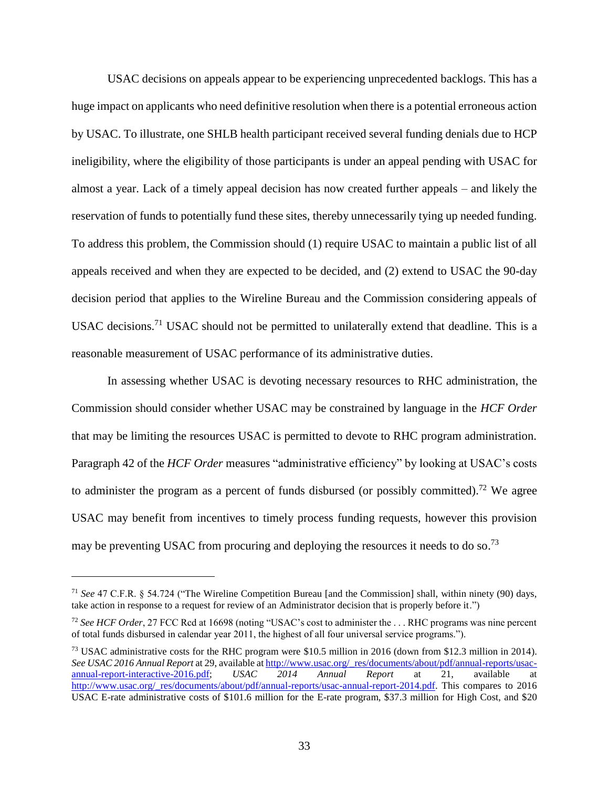USAC decisions on appeals appear to be experiencing unprecedented backlogs. This has a huge impact on applicants who need definitive resolution when there is a potential erroneous action by USAC. To illustrate, one SHLB health participant received several funding denials due to HCP ineligibility, where the eligibility of those participants is under an appeal pending with USAC for almost a year. Lack of a timely appeal decision has now created further appeals – and likely the reservation of funds to potentially fund these sites, thereby unnecessarily tying up needed funding. To address this problem, the Commission should (1) require USAC to maintain a public list of all appeals received and when they are expected to be decided, and (2) extend to USAC the 90-day decision period that applies to the Wireline Bureau and the Commission considering appeals of USAC decisions.<sup>71</sup> USAC should not be permitted to unilaterally extend that deadline. This is a reasonable measurement of USAC performance of its administrative duties.

In assessing whether USAC is devoting necessary resources to RHC administration, the Commission should consider whether USAC may be constrained by language in the *HCF Order* that may be limiting the resources USAC is permitted to devote to RHC program administration. Paragraph 42 of the *HCF Order* measures "administrative efficiency" by looking at USAC's costs to administer the program as a percent of funds disbursed (or possibly committed).<sup>72</sup> We agree USAC may benefit from incentives to timely process funding requests, however this provision may be preventing USAC from procuring and deploying the resources it needs to do so.<sup>73</sup>

<sup>71</sup> *See* 47 C.F.R. § 54.724 ("The Wireline Competition Bureau [and the Commission] shall, within ninety (90) days, take action in response to a request for review of an Administrator decision that is properly before it.")

<sup>72</sup> *See HCF Order*, 27 FCC Rcd at 16698 (noting "USAC's cost to administer the . . . RHC programs was nine percent of total funds disbursed in calendar year 2011, the highest of all four universal service programs.").

<sup>73</sup> USAC administrative costs for the RHC program were \$10.5 million in 2016 (down from \$12.3 million in 2014). *See USAC 2016 Annual Report* at 29, available at  $\frac{http://www.usac.org/res/documents/about/pdf/annual-reports/usac-  
annual-report-interactive-2016.pdf; *USAC* 2014 Annual Report at 21, available at$ [annual-report-interactive-2016.pdf;](http://www.usac.org/_res/documents/about/pdf/annual-reports/usac-annual-report-interactive-2016.pdf) *USAC 2014 Annual Report* at 21, available at [http://www.usac.org/\\_res/documents/about/pdf/annual-reports/usac-annual-report-2014.pdf.](http://www.usac.org/_res/documents/about/pdf/annual-reports/usac-annual-report-2014.pdf) This compares to 2016 USAC E-rate administrative costs of \$101.6 million for the E-rate program, \$37.3 million for High Cost, and \$20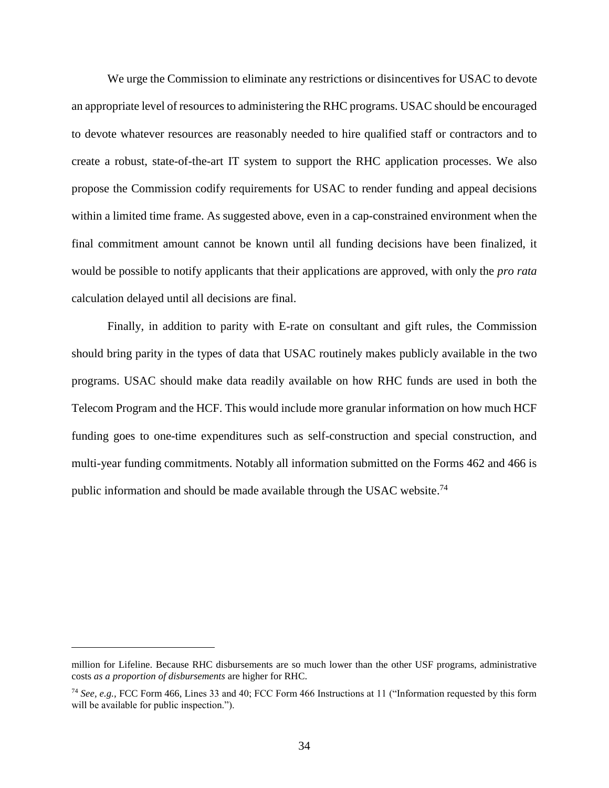We urge the Commission to eliminate any restrictions or disincentives for USAC to devote an appropriate level of resources to administering the RHC programs. USAC should be encouraged to devote whatever resources are reasonably needed to hire qualified staff or contractors and to create a robust, state-of-the-art IT system to support the RHC application processes. We also propose the Commission codify requirements for USAC to render funding and appeal decisions within a limited time frame. As suggested above, even in a cap-constrained environment when the final commitment amount cannot be known until all funding decisions have been finalized, it would be possible to notify applicants that their applications are approved, with only the *pro rata* calculation delayed until all decisions are final.

Finally, in addition to parity with E-rate on consultant and gift rules, the Commission should bring parity in the types of data that USAC routinely makes publicly available in the two programs. USAC should make data readily available on how RHC funds are used in both the Telecom Program and the HCF. This would include more granular information on how much HCF funding goes to one-time expenditures such as self-construction and special construction, and multi-year funding commitments. Notably all information submitted on the Forms 462 and 466 is public information and should be made available through the USAC website.<sup>74</sup>

million for Lifeline. Because RHC disbursements are so much lower than the other USF programs, administrative costs *as a proportion of disbursements* are higher for RHC.

<sup>74</sup> *See, e.g.,* FCC Form 466, Lines 33 and 40; FCC Form 466 Instructions at 11 ("Information requested by this form will be available for public inspection.").